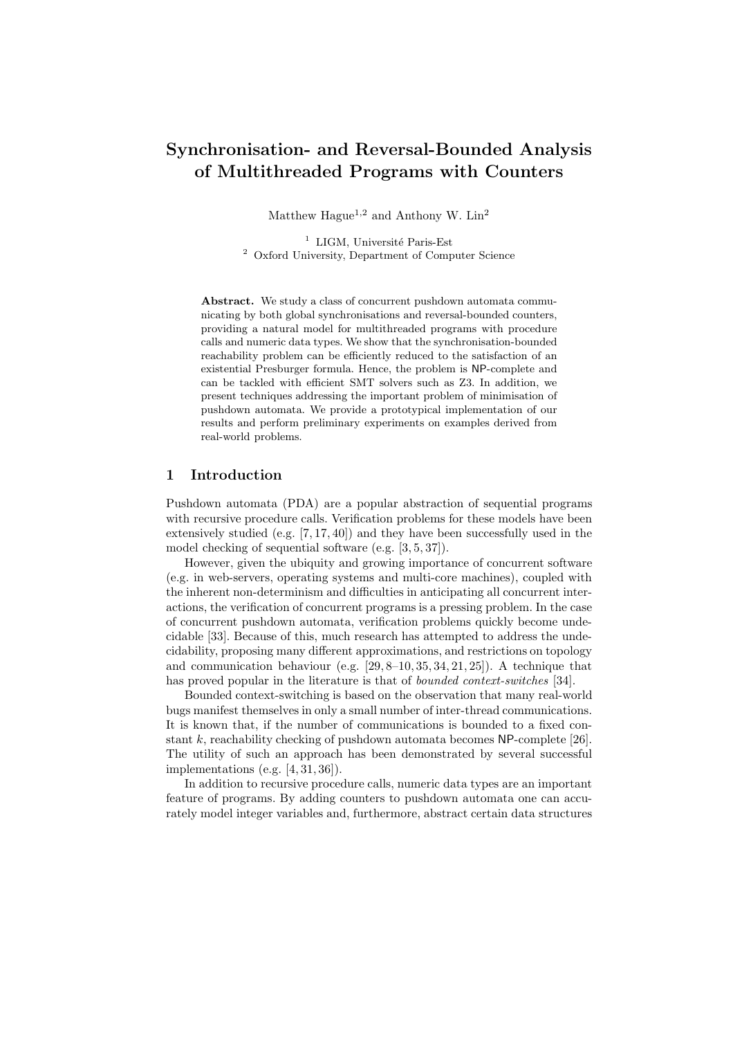# Synchronisation- and Reversal-Bounded Analysis of Multithreaded Programs with Counters

Matthew  $\rm Hague^{1,2}$  and Anthony W.  $\rm Lin^{2}$ 

 $^{\rm 1}$  LIGM, Université Paris-Est <sup>2</sup> Oxford University, Department of Computer Science

Abstract. We study a class of concurrent pushdown automata communicating by both global synchronisations and reversal-bounded counters, providing a natural model for multithreaded programs with procedure calls and numeric data types. We show that the synchronisation-bounded reachability problem can be efficiently reduced to the satisfaction of an existential Presburger formula. Hence, the problem is NP-complete and can be tackled with efficient SMT solvers such as Z3. In addition, we present techniques addressing the important problem of minimisation of pushdown automata. We provide a prototypical implementation of our results and perform preliminary experiments on examples derived from real-world problems.

# 1 Introduction

Pushdown automata (PDA) are a popular abstraction of sequential programs with recursive procedure calls. Verification problems for these models have been extensively studied (e.g.  $[7, 17, 40]$ ) and they have been successfully used in the model checking of sequential software (e.g. [3, 5, 37]).

However, given the ubiquity and growing importance of concurrent software (e.g. in web-servers, operating systems and multi-core machines), coupled with the inherent non-determinism and difficulties in anticipating all concurrent interactions, the verification of concurrent programs is a pressing problem. In the case of concurrent pushdown automata, verification problems quickly become undecidable [33]. Because of this, much research has attempted to address the undecidability, proposing many different approximations, and restrictions on topology and communication behaviour (e.g. [29, 8–10, 35, 34, 21, 25]). A technique that has proved popular in the literature is that of *bounded context-switches* [34].

Bounded context-switching is based on the observation that many real-world bugs manifest themselves in only a small number of inter-thread communications. It is known that, if the number of communications is bounded to a fixed constant k, reachability checking of pushdown automata becomes  $NP$ -complete [26]. The utility of such an approach has been demonstrated by several successful implementations (e.g.  $[4, 31, 36]$ ).

In addition to recursive procedure calls, numeric data types are an important feature of programs. By adding counters to pushdown automata one can accurately model integer variables and, furthermore, abstract certain data structures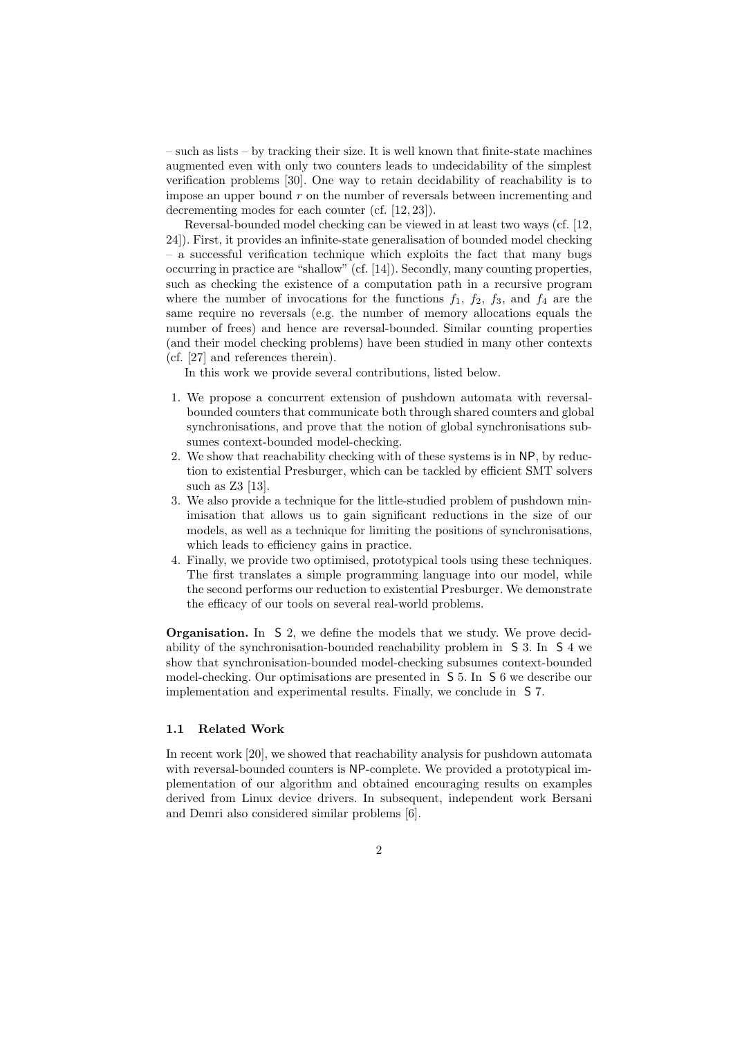– such as lists – by tracking their size. It is well known that finite-state machines augmented even with only two counters leads to undecidability of the simplest verification problems [30]. One way to retain decidability of reachability is to impose an upper bound  $r$  on the number of reversals between incrementing and decrementing modes for each counter (cf. [12, 23]).

Reversal-bounded model checking can be viewed in at least two ways (cf. [12, 24]). First, it provides an infinite-state generalisation of bounded model checking – a successful verification technique which exploits the fact that many bugs occurring in practice are "shallow" (cf. [14]). Secondly, many counting properties, such as checking the existence of a computation path in a recursive program where the number of invocations for the functions  $f_1$ ,  $f_2$ ,  $f_3$ , and  $f_4$  are the same require no reversals (e.g. the number of memory allocations equals the number of frees) and hence are reversal-bounded. Similar counting properties (and their model checking problems) have been studied in many other contexts (cf. [27] and references therein).

In this work we provide several contributions, listed below.

- 1. We propose a concurrent extension of pushdown automata with reversalbounded counters that communicate both through shared counters and global synchronisations, and prove that the notion of global synchronisations subsumes context-bounded model-checking.
- 2. We show that reachability checking with of these systems is in NP, by reduction to existential Presburger, which can be tackled by efficient SMT solvers such as Z3 [13].
- 3. We also provide a technique for the little-studied problem of pushdown minimisation that allows us to gain significant reductions in the size of our models, as well as a technique for limiting the positions of synchronisations, which leads to efficiency gains in practice.
- 4. Finally, we provide two optimised, prototypical tools using these techniques. The first translates a simple programming language into our model, while the second performs our reduction to existential Presburger. We demonstrate the efficacy of our tools on several real-world problems.

Organisation. In S 2, we define the models that we study. We prove decidability of the synchronisation-bounded reachability problem in S 3. In S 4 we show that synchronisation-bounded model-checking subsumes context-bounded model-checking. Our optimisations are presented in S 5. In S 6 we describe our implementation and experimental results. Finally, we conclude in S 7.

#### 1.1 Related Work

In recent work [20], we showed that reachability analysis for pushdown automata with reversal-bounded counters is NP-complete. We provided a prototypical implementation of our algorithm and obtained encouraging results on examples derived from Linux device drivers. In subsequent, independent work Bersani and Demri also considered similar problems [6].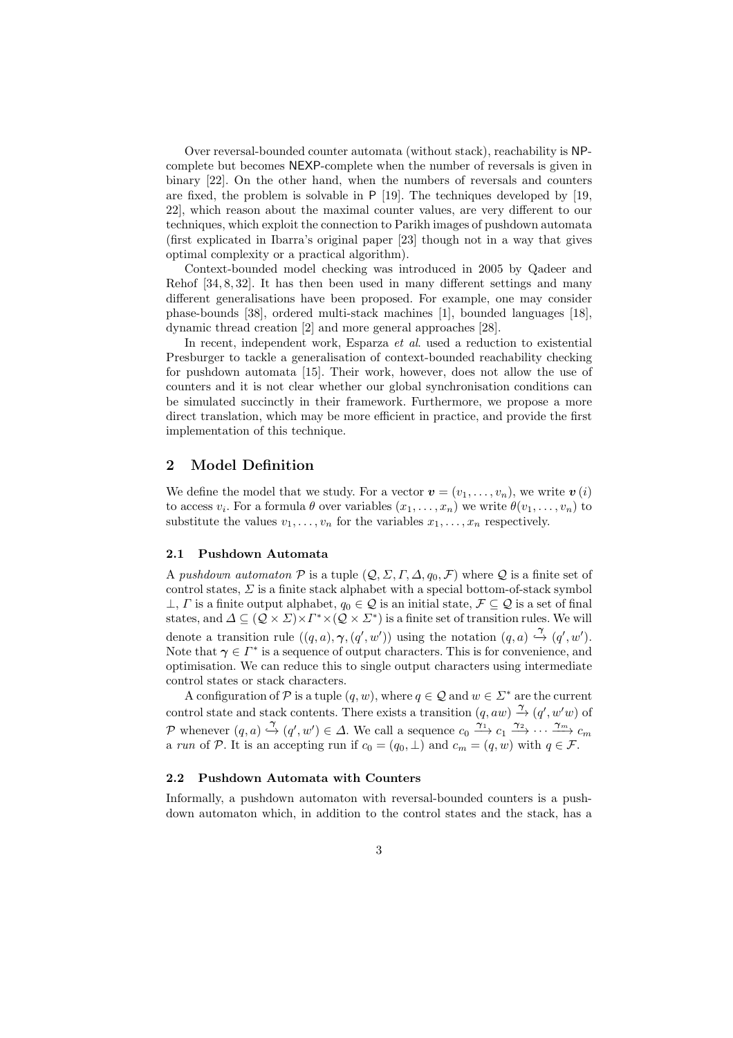Over reversal-bounded counter automata (without stack), reachability is NPcomplete but becomes NEXP-complete when the number of reversals is given in binary [22]. On the other hand, when the numbers of reversals and counters are fixed, the problem is solvable in P [19]. The techniques developed by [19, 22], which reason about the maximal counter values, are very different to our techniques, which exploit the connection to Parikh images of pushdown automata (first explicated in Ibarra's original paper [23] though not in a way that gives optimal complexity or a practical algorithm).

Context-bounded model checking was introduced in 2005 by Qadeer and Rehof [34, 8, 32]. It has then been used in many different settings and many different generalisations have been proposed. For example, one may consider phase-bounds [38], ordered multi-stack machines [1], bounded languages [18], dynamic thread creation [2] and more general approaches [28].

In recent, independent work, Esparza et al. used a reduction to existential Presburger to tackle a generalisation of context-bounded reachability checking for pushdown automata [15]. Their work, however, does not allow the use of counters and it is not clear whether our global synchronisation conditions can be simulated succinctly in their framework. Furthermore, we propose a more direct translation, which may be more efficient in practice, and provide the first implementation of this technique.

## 2 Model Definition

We define the model that we study. For a vector  $\mathbf{v} = (v_1, \ldots, v_n)$ , we write  $\mathbf{v}(i)$ to access  $v_i$ . For a formula  $\theta$  over variables  $(x_1, \ldots, x_n)$  we write  $\theta(v_1, \ldots, v_n)$  to substitute the values  $v_1, \ldots, v_n$  for the variables  $x_1, \ldots, x_n$  respectively.

#### 2.1 Pushdown Automata

A pushdown automaton P is a tuple  $(Q, \Sigma, \Gamma, \Delta, q_0, \mathcal{F})$  where Q is a finite set of control states,  $\Sigma$  is a finite stack alphabet with a special bottom-of-stack symbol  $\perp$ ,  $\Gamma$  is a finite output alphabet,  $q_0 \in \mathcal{Q}$  is an initial state,  $\mathcal{F} \subseteq \mathcal{Q}$  is a set of final states, and  $\Delta \subseteq (Q \times \Sigma) \times \Gamma^* \times (Q \times \Sigma^*)$  is a finite set of transition rules. We will denote a transition rule  $((q, a), \gamma, (q', w'))$  using the notation  $(q, a) \stackrel{\gamma}{\hookrightarrow} (q', w')$ . Note that  $\gamma \in \Gamma^*$  is a sequence of output characters. This is for convenience, and optimisation. We can reduce this to single output characters using intermediate control states or stack characters.

A configuration of  $P$  is a tuple  $(q, w)$ , where  $q \in \mathcal{Q}$  and  $w \in \Sigma^*$  are the current control state and stack contents. There exists a transition  $(q, aw) \xrightarrow{\gamma} (q', w'w)$  of P whenever  $(q, a) \xrightarrow{\gamma} (q', w') \in \Delta$ . We call a sequence  $c_0 \xrightarrow{\gamma_1} c_1 \xrightarrow{\gamma_2} \cdots \xrightarrow{\gamma_m} c_m$ a run of P. It is an accepting run if  $c_0 = (q_0, \perp)$  and  $c_m = (q, w)$  with  $q \in \mathcal{F}$ .

## 2.2 Pushdown Automata with Counters

Informally, a pushdown automaton with reversal-bounded counters is a pushdown automaton which, in addition to the control states and the stack, has a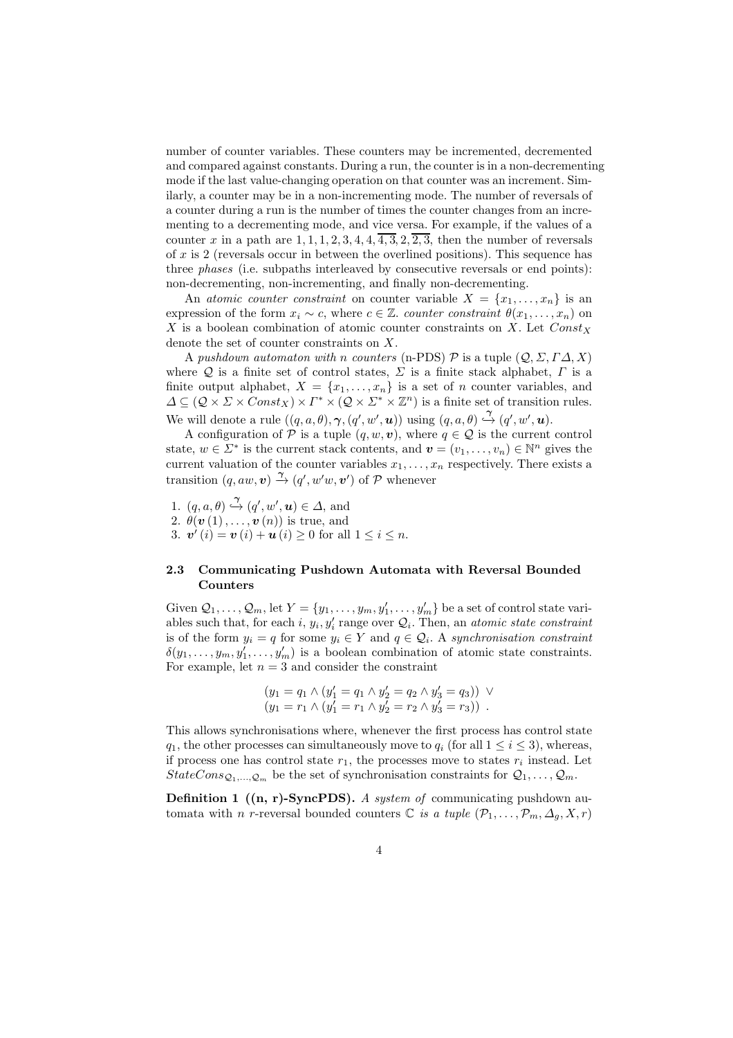number of counter variables. These counters may be incremented, decremented and compared against constants. During a run, the counter is in a non-decrementing mode if the last value-changing operation on that counter was an increment. Similarly, a counter may be in a non-incrementing mode. The number of reversals of a counter during a run is the number of times the counter changes from an incrementing to a decrementing mode, and vice versa. For example, if the values of a counter x in a path are  $1, 1, 1, 2, 3, 4, 4, \overline{4, 3}, 2, \overline{2, 3}$ , then the number of reversals of  $x$  is 2 (reversals occur in between the overlined positions). This sequence has three phases (i.e. subpaths interleaved by consecutive reversals or end points): non-decrementing, non-incrementing, and finally non-decrementing.

An atomic counter constraint on counter variable  $X = \{x_1, \ldots, x_n\}$  is an expression of the form  $x_i \sim c$ , where  $c \in \mathbb{Z}$ . *counter constraint*  $\theta(x_1, \ldots, x_n)$  on X is a boolean combination of atomic counter constraints on X. Let  $Const<sub>X</sub>$ denote the set of counter constraints on X.

A pushdown automaton with n counters (n-PDS)  $\mathcal P$  is a tuple  $(\mathcal Q, \Sigma, \Gamma \Delta, X)$ where Q is a finite set of control states,  $\Sigma$  is a finite stack alphabet,  $\Gamma$  is a finite output alphabet,  $X = \{x_1, \ldots, x_n\}$  is a set of n counter variables, and  $\Delta \subseteq (Q \times \Sigma \times Const_X) \times \Gamma^* \times (Q \times \Sigma^* \times \mathbb{Z}^n)$  is a finite set of transition rules. We will denote a rule  $((q, a, \theta), \gamma, (q', w', u))$  using  $(q, a, \theta) \stackrel{\gamma}{\hookrightarrow} (q', w', u)$ .

A configuration of  $P$  is a tuple  $(q, w, v)$ , where  $q \in Q$  is the current control state,  $w \in \Sigma^*$  is the current stack contents, and  $\mathbf{v} = (v_1, \dots, v_n) \in \mathbb{N}^n$  gives the current valuation of the counter variables  $x_1, \ldots, x_n$  respectively. There exists a transition  $(q, aw, v) \stackrel{\gamma}{\rightarrow} (q', w'w, v')$  of  $P$  whenever

1.  $(q, a, \theta) \stackrel{\gamma}{\hookrightarrow} (q', w', \mathbf{u}) \in \Delta$ , and 2.  $\theta(\boldsymbol{v}(1),\ldots,\boldsymbol{v}(n))$  is true, and

3.  $v'(i) = v(i) + u(i) \ge 0$  for all  $1 \le i \le n$ .

### 2.3 Communicating Pushdown Automata with Reversal Bounded Counters

Given  $Q_1, \ldots, Q_m$ , let  $Y = \{y_1, \ldots, y_m, y'_1, \ldots, y'_m\}$  be a set of control state variables such that, for each i,  $y_i$ ,  $y'_i$  range over  $\mathcal{Q}_i$ . Then, an *atomic state constraint* is of the form  $y_i = q$  for some  $y_i \in Y$  and  $q \in \mathcal{Q}_i$ . A synchronisation constraint  $\delta(y_1,\ldots,y_m,y'_1,\ldots,y'_m)$  is a boolean combination of atomic state constraints. For example, let  $n = 3$  and consider the constraint

$$
(y_1 = q_1 \land (y'_1 = q_1 \land y'_2 = q_2 \land y'_3 = q_3)) \lor (y_1 = r_1 \land (y'_1 = r_1 \land y'_2 = r_2 \land y'_3 = r_3)) .
$$

This allows synchronisations where, whenever the first process has control state  $q_1$ , the other processes can simultaneously move to  $q_i$  (for all  $1 \leq i \leq 3$ ), whereas, if process one has control state  $r_1$ , the processes move to states  $r_i$  instead. Let  $StateCons_{\mathcal{Q}_1,...,\mathcal{Q}_m}$  be the set of synchronisation constraints for  $\mathcal{Q}_1,...,\mathcal{Q}_m$ .

**Definition 1** ( $(n, r)$ -SyncPDS). A system of communicating pushdown automata with n r-reversal bounded counters  $\mathbb C$  is a tuple  $(\mathcal P_1,\ldots,\mathcal P_m,\Delta_q,X,r)$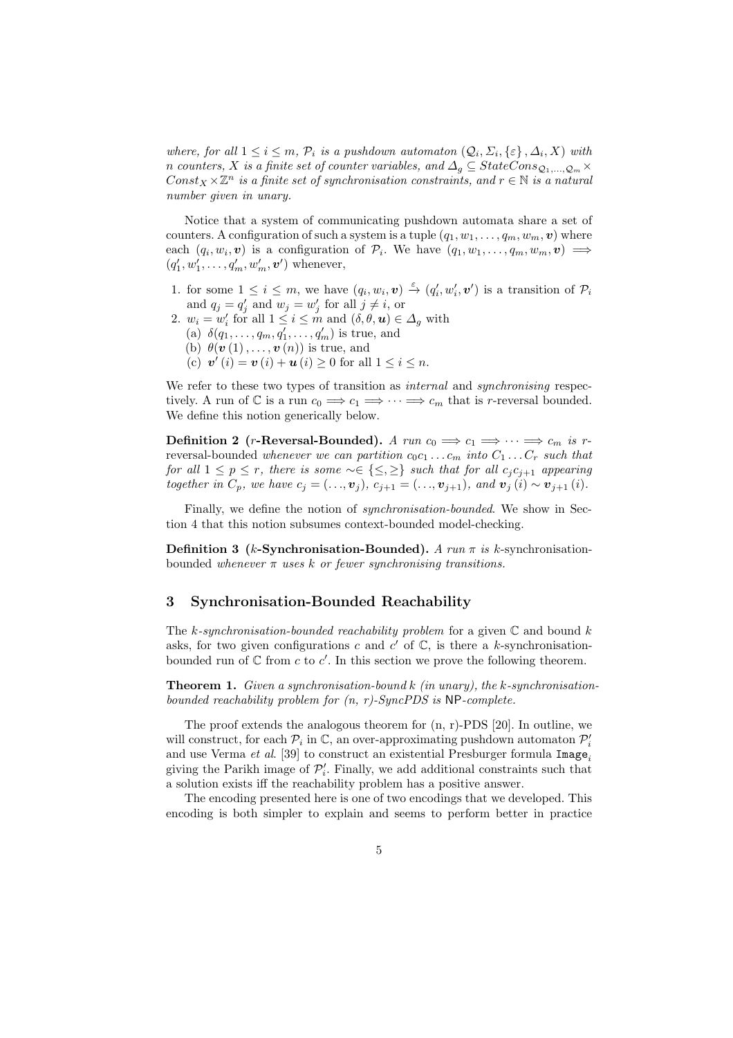where, for all  $1 \leq i \leq m$ ,  $\mathcal{P}_i$  is a pushdown automaton  $(\mathcal{Q}_i, \Sigma_i, \{\varepsilon\}, \Delta_i, X)$  with n counters, X is a finite set of counter variables, and  $\Delta_g \subseteq StateCons_{\mathcal{Q}_1,...,\mathcal{Q}_m}\times$  $Const_X\times\mathbb{Z}^n$  is a finite set of synchronisation constraints, and  $r\in\mathbb{N}$  is a natural number given in unary.

Notice that a system of communicating pushdown automata share a set of counters. A configuration of such a system is a tuple  $(q_1, w_1, \ldots, q_m, w_m, v)$  where each  $(q_i, w_i, v)$  is a configuration of  $\mathcal{P}_i$ . We have  $(q_1, w_1, \ldots, q_m, w_m, v) \implies$  $(q'_1, w'_1, \ldots, q'_m, w'_m, v')$  whenever,

- 1. for some  $1 \leq i \leq m$ , we have  $(q_i, w_i, v) \stackrel{\varepsilon}{\rightarrow} (q'_i, w'_i, v')$  is a transition of  $\mathcal{P}_i$ and  $q_j = q'_j$  and  $w_j = w'_j$  for all  $j \neq i$ , or
- 2.  $w_i = w'_i$  for all  $1 \leq i \leq m$  and  $(\delta, \theta, \mathbf{u}) \in \Delta_g$  with (a)  $\delta(q_1, ..., q_m, q'_1, ..., q'_m)$  is true, and (b)  $\theta(\boldsymbol{v}(1),\ldots,\boldsymbol{v}(n))$  is true, and (c)  $v'(i) = v(i) + u(i) \ge 0$  for all  $1 \le i \le n$ .

We refer to these two types of transition as *internal* and *synchronising* respectively. A run of  $\mathbb C$  is a run  $c_0 \Longrightarrow c_1 \Longrightarrow \cdots \Longrightarrow c_m$  that is r-reversal bounded. We define this notion generically below.

Definition 2 (r-Reversal-Bounded). A run  $c_0 \implies c_1 \implies \cdots \implies c_m$  is rreversal-bounded whenever we can partition  $c_0c_1 \ldots c_m$  into  $C_1 \ldots C_r$  such that for all  $1 \leq p \leq r$ , there is some  $\sim \in \{\leq, \geq\}$  such that for all  $c_j c_{j+1}$  appearing together in  $C_p$ , we have  $c_j = (..., \mathbf{v}_j), c_{j+1} = (..., \mathbf{v}_{j+1}),$  and  $\mathbf{v}_j(i) \sim \mathbf{v}_{j+1}(i)$ .

Finally, we define the notion of *synchronisation-bounded*. We show in Section 4 that this notion subsumes context-bounded model-checking.

**Definition 3** (k-Synchronisation-Bounded). A run  $\pi$  is k-synchronisationbounded whenever  $\pi$  uses k or fewer synchronising transitions.

# 3 Synchronisation-Bounded Reachability

The k-synchronisation-bounded reachability problem for a given  $\mathbb C$  and bound k asks, for two given configurations c and  $c'$  of  $\mathbb{C}$ , is there a k-synchronisationbounded run of  $\mathbb C$  from c to c'. In this section we prove the following theorem.

**Theorem 1.** Given a synchronisation-bound k (in unary), the k-synchronisationbounded reachability problem for  $(n, r)$ -SyncPDS is NP-complete.

The proof extends the analogous theorem for (n, r)-PDS [20]. In outline, we will construct, for each  $\mathcal{P}_i$  in  $\mathbb{C}$ , an over-approximating pushdown automaton  $\mathcal{P}'_i$ and use Verma et al. [39] to construct an existential Presburger formula  $\text{Image}_i$ giving the Parikh image of  $\mathcal{P}'_i$ . Finally, we add additional constraints such that a solution exists iff the reachability problem has a positive answer.

The encoding presented here is one of two encodings that we developed. This encoding is both simpler to explain and seems to perform better in practice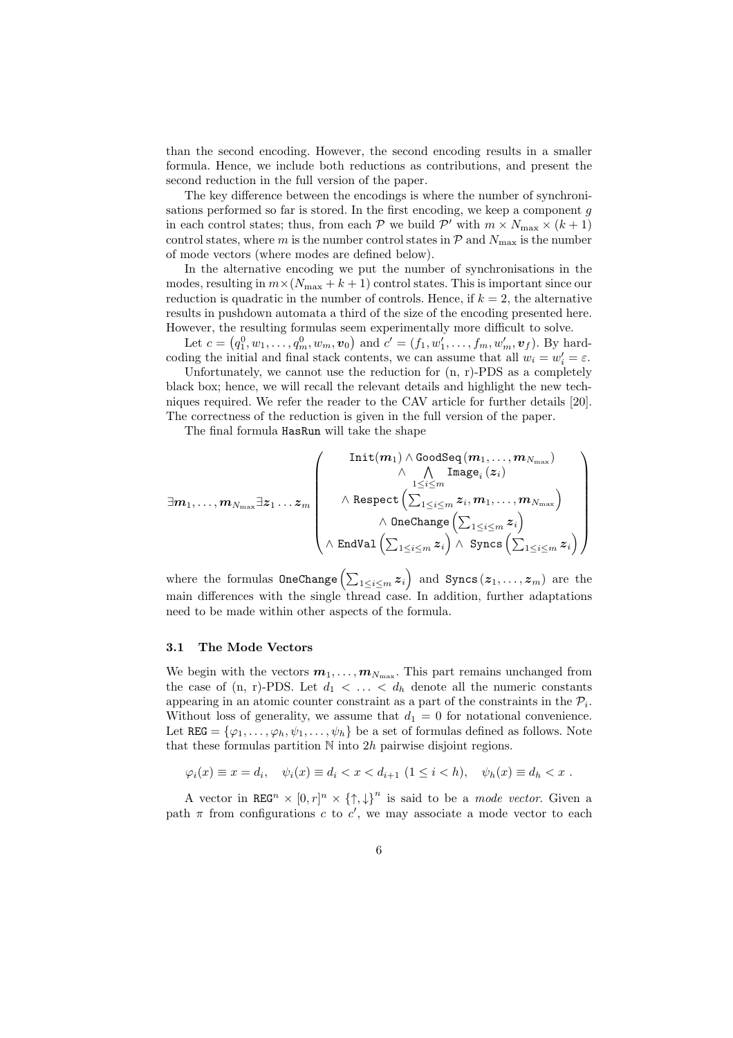than the second encoding. However, the second encoding results in a smaller formula. Hence, we include both reductions as contributions, and present the second reduction in the full version of the paper.

The key difference between the encodings is where the number of synchronisations performed so far is stored. In the first encoding, we keep a component  $q$ in each control states; thus, from each  $P$  we build  $P'$  with  $m \times N_{\max} \times (k+1)$ control states, where m is the number control states in  $P$  and  $N_{\text{max}}$  is the number of mode vectors (where modes are defined below).

In the alternative encoding we put the number of synchronisations in the modes, resulting in  $m \times (N_{\text{max}} + k + 1)$  control states. This is important since our reduction is quadratic in the number of controls. Hence, if  $k = 2$ , the alternative results in pushdown automata a third of the size of the encoding presented here. However, the resulting formulas seem experimentally more difficult to solve.

Let  $c = (q_1^0, w_1, \ldots, q_m^0, w_m, v_0)$  and  $c' = (f_1, w'_1, \ldots, f_m, w'_m, v_f)$ . By hardcoding the initial and final stack contents, we can assume that all  $w_i = w'_i = \varepsilon$ .

Unfortunately, we cannot use the reduction for  $(n, r)$ -PDS as a completely black box; hence, we will recall the relevant details and highlight the new techniques required. We refer the reader to the CAV article for further details [20]. The correctness of the reduction is given in the full version of the paper.

The final formula HasRun will take the shape

$$
\exists m_1, \ldots, m_{N_{\max}} \exists z_1 \ldots z_m \left( \begin{array}{c} \text{Init}(m_1) \wedge \text{GoodSeq}(m_1, \ldots, m_{N_{\max}}) \\ \wedge \hspace{0.2cm} \bigwedge^{1 \leq i \leq m} \text{Image}_i(z_i) \\ \wedge \text{Respect}\left(\sum_{1 \leq i \leq m} z_i, m_1, \ldots, m_{N_{\max}} \right) \\ \wedge \hspace{0.2cm} \text{OneChange}\left(\sum_{1 \leq i \leq m} z_i \right) \\ \wedge \hspace{0.2cm} \text{EndVal}\left(\sum_{1 \leq i \leq m} z_i \right) \wedge \hspace{0.2cm} \text{Symcs}\left(\sum_{1 \leq i \leq m} z_i \right) \end{array} \right)
$$

where the formulas  $\mathtt{OneChange}\left(\sum_{1\leq i\leq m}\boldsymbol{z}_i\right)$  and  $\mathtt{Syncs}\left(\boldsymbol{z}_1,\ldots,\boldsymbol{z}_m\right)$  are the main differences with the single thread case. In addition, further adaptations need to be made within other aspects of the formula.

### 3.1 The Mode Vectors

We begin with the vectors  $m_1, \ldots, m_{N_{\text{max}}}$ . This part remains unchanged from the case of  $(n, r)$ -PDS. Let  $d_1 < \ldots < d_h$  denote all the numeric constants appearing in an atomic counter constraint as a part of the constraints in the  $\mathcal{P}_i$ . Without loss of generality, we assume that  $d_1 = 0$  for notational convenience. Let  $REG = {\varphi_1, \ldots, \varphi_h, \psi_1, \ldots, \psi_h}$  be a set of formulas defined as follows. Note that these formulas partition  $N$  into  $2h$  pairwise disjoint regions.

$$
\varphi_i(x) \equiv x = d_i, \quad \psi_i(x) \equiv d_i < x < d_{i+1} \ (1 \leq i < h), \quad \psi_h(x) \equiv d_h < x.
$$

A vector in REG<sup>n</sup>  $\times$   $[0,r]^n \times \{\uparrow,\downarrow\}^n$  is said to be a *mode vector*. Given a path  $\pi$  from configurations c to c', we may associate a mode vector to each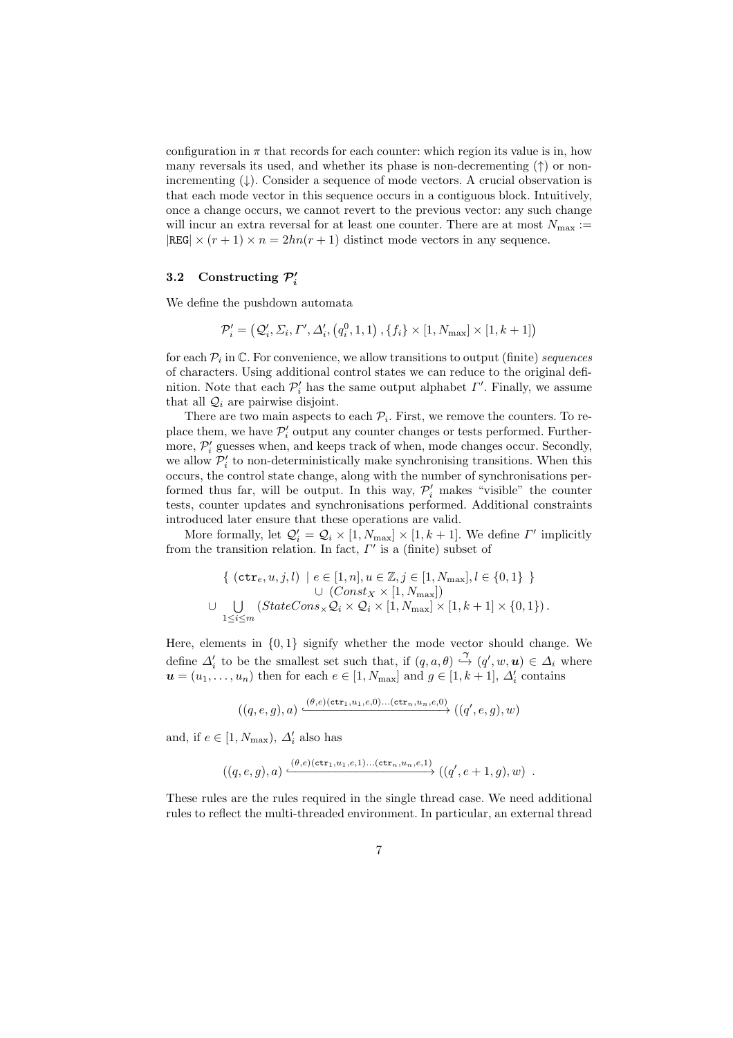configuration in  $\pi$  that records for each counter: which region its value is in, how many reversals its used, and whether its phase is non-decrementing  $(†)$  or nonincrementing  $(\downarrow)$ . Consider a sequence of mode vectors. A crucial observation is that each mode vector in this sequence occurs in a contiguous block. Intuitively, once a change occurs, we cannot revert to the previous vector: any such change will incur an extra reversal for at least one counter. There are at most  $N_{\text{max}} :=$  $|REG| \times (r+1) \times n = 2hn(r+1)$  distinct mode vectors in any sequence.

# 3.2 Constructing  $\mathcal{P}'_i$

We define the pushdown automata

$$
\mathcal{P}'_i = \left( \mathcal{Q}'_i, \Sigma_i, \Gamma', \Delta'_i, \left( q_i^0, 1, 1 \right), \{ f_i \} \times [1, N_{\text{max}}] \times [1, k+1] \right)
$$

for each  $\mathcal{P}_i$  in  $\mathbb{C}$ . For convenience, we allow transitions to output (finite) sequences of characters. Using additional control states we can reduce to the original definition. Note that each  $\mathcal{P}'_i$  has the same output alphabet  $\varGamma'$ . Finally, we assume that all  $\mathcal{Q}_i$  are pairwise disjoint.

There are two main aspects to each  $\mathcal{P}_i$ . First, we remove the counters. To replace them, we have  $\mathcal{P}'_i$  output any counter changes or tests performed. Furthermore,  $\mathcal{P}'_i$  guesses when, and keeps track of when, mode changes occur. Secondly, we allow  $\mathcal{P}'_i$  to non-deterministically make synchronising transitions. When this occurs, the control state change, along with the number of synchronisations performed thus far, will be output. In this way,  $\mathcal{P}'_i$  makes "visible" the counter tests, counter updates and synchronisations performed. Additional constraints introduced later ensure that these operations are valid.

More formally, let  $\mathcal{Q}'_i = \mathcal{Q}_i \times [1, N_{\text{max}}] \times [1, k+1]$ . We define  $\Gamma'$  implicitly from the transition relation. In fact,  $\Gamma'$  is a (finite) subset of

$$
\{ (\texttt{ctr}_e, u, j, l) \mid e \in [1, n], u \in \mathbb{Z}, j \in [1, N_{\text{max}}], l \in \{0, 1\} \} \cup (Const_X \times [1, N_{\text{max}}]) \cup \bigcup_{1 \leq i \leq m} (StateCons_{\times} \mathcal{Q}_i \times \mathcal{Q}_i \times [1, N_{\text{max}}] \times [1, k + 1] \times \{0, 1\}).
$$

Here, elements in  $\{0, 1\}$  signify whether the mode vector should change. We define  $\Delta'_i$  to be the smallest set such that, if  $(q, a, \theta) \stackrel{\gamma}{\hookrightarrow} (q', w, u) \in \Delta_i$  where  $u = (u_1, \ldots, u_n)$  then for each  $e \in [1, N_{\text{max}}]$  and  $g \in [1, k + 1]$ ,  $\Delta'_i$  contains

$$
((q,e,g),a)\xrightarrow{(\theta,e)(\mathtt{ctr}_1,u_1,e,0)\dots(\mathtt{ctr}_n,u_n,e,0)}((q',e,g),w)
$$

and, if  $e \in [1, N_{\text{max}}), \Delta'_i$  also has

$$
((q,e,g),a) \xrightarrow{(\theta,e)(\texttt{ctr}_1,u_1,e,1)\dots(\texttt{ctr}_n,u_n,e,1)} ((q',e+1,g),w) .
$$

These rules are the rules required in the single thread case. We need additional rules to reflect the multi-threaded environment. In particular, an external thread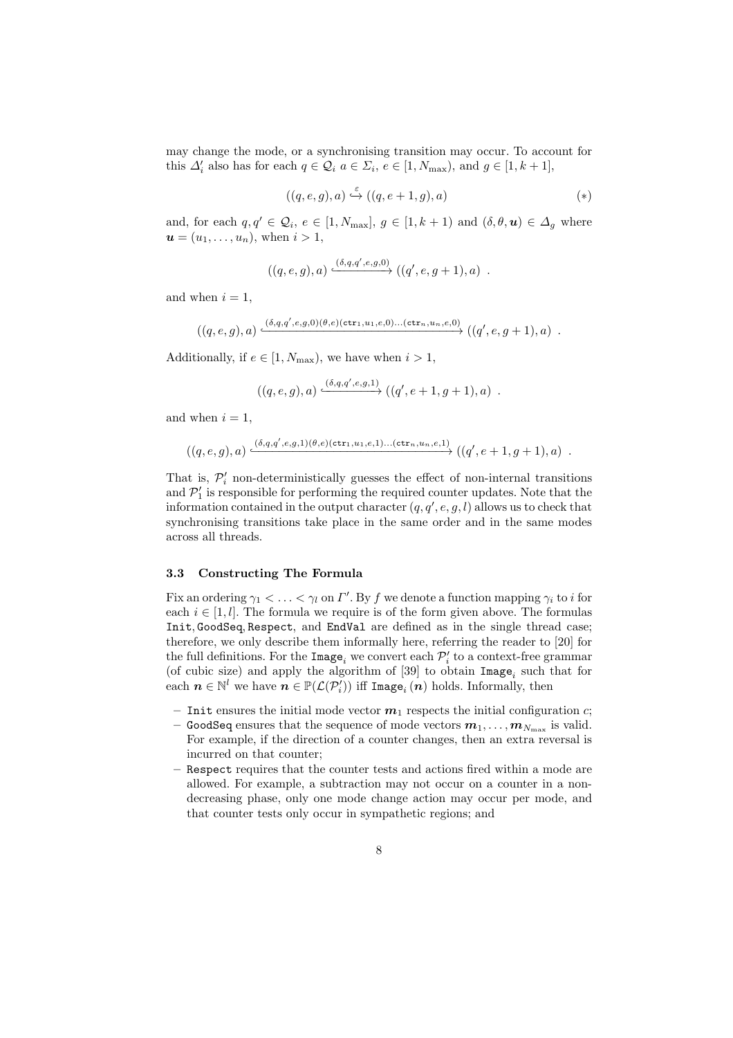may change the mode, or a synchronising transition may occur. To account for this  $\Delta'_i$  also has for each  $q \in \mathcal{Q}_i$   $a \in \Sigma_i$ ,  $e \in [1, N_{\max})$ , and  $g \in [1, k+1]$ ,

$$
((q,e,g),a)\stackrel{\varepsilon}{\hookrightarrow}((q,e+1,g),a)\qquad \qquad (*)
$$

and, for each  $q, q' \in \mathcal{Q}_i$ ,  $e \in [1, N_{\text{max}}]$ ,  $g \in [1, k + 1)$  and  $(\delta, \theta, \mathbf{u}) \in \Delta_g$  where  $u = (u_1, \ldots, u_n)$ , when  $i > 1$ ,

$$
((q,e,g),a)\xrightarrow{(\delta,q,q',e,g,0)} ((q',e,g+1),a)\enspace.
$$

and when  $i = 1$ ,

$$
((q,e,g),a)\xrightarrow{(\delta,q,q',e,g,0)(\theta,e)(\mathtt{ctr}_1,u_1,e,0)\ldots(\mathtt{ctr}_n,u_n,e,0)} ((q',e,g+1),a)\ .
$$

Additionally, if  $e \in [1, N_{\text{max}})$ , we have when  $i > 1$ ,

$$
((q,e,g),a)\xrightarrow{(\delta,q,q',e,g,1)} ((q',e+1,g+1),a) .
$$

and when  $i = 1$ ,

$$
((q,e,g),a)\xrightarrow{(\delta,q,q',e,g,1)(\theta,e)(\mathtt{ctr}_1,u_1,e,1)\ldots(\mathtt{ctr}_n,u_n,e,1)} ((q',e+1,g+1),a)\enspace.
$$

That is,  $\mathcal{P}'_i$  non-deterministically guesses the effect of non-internal transitions and  $\mathcal{P}'_1$  is responsible for performing the required counter updates. Note that the information contained in the output character  $(q, q', e, g, l)$  allows us to check that synchronising transitions take place in the same order and in the same modes across all threads.

#### 3.3 Constructing The Formula

Fix an ordering  $\gamma_1 < \ldots < \gamma_l$  on  $\Gamma'.$  By  $f$  we denote a function mapping  $\gamma_i$  to i for each  $i \in [1, l]$ . The formula we require is of the form given above. The formulas Init, GoodSeq, Respect, and EndVal are defined as in the single thread case; therefore, we only describe them informally here, referring the reader to [20] for the full definitions. For the  $\mathtt{Image}_i$  we convert each  $\mathcal{P}'_i$  to a context-free grammar (of cubic size) and apply the algorithm of [39] to obtain  $\text{Image}_i$  such that for each  $n \in \mathbb{N}^l$  we have  $n \in \mathbb{P}(\mathcal{L}(\mathcal{P}_i^l))$  iff Image<sub>i</sub> $(n)$  holds. Informally, then

- Initial ensures the initial mode vector  $m_1$  respects the initial configuration c;
- $-$  GoodSeq ensures that the sequence of mode vectors  $\boldsymbol{m}_1,\ldots,\boldsymbol{m}_{N_{\rm max}}$  is valid. For example, if the direction of a counter changes, then an extra reversal is incurred on that counter;
- Respect requires that the counter tests and actions fired within a mode are allowed. For example, a subtraction may not occur on a counter in a nondecreasing phase, only one mode change action may occur per mode, and that counter tests only occur in sympathetic regions; and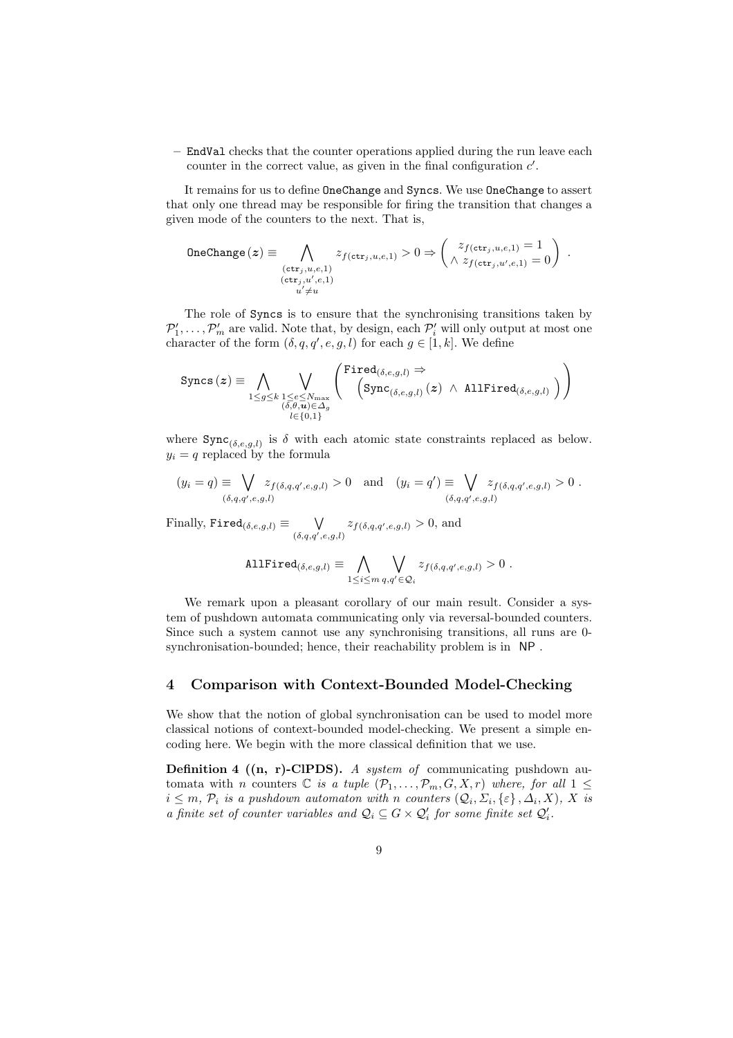– EndVal checks that the counter operations applied during the run leave each counter in the correct value, as given in the final configuration  $c'$ .

It remains for us to define OneChange and Syncs. We use OneChange to assert that only one thread may be responsible for firing the transition that changes a given mode of the counters to the next. That is,

$$
\text{OneChange}(z) \equiv \bigwedge_{\substack{(\text{ctr}_j, u, e, 1) \\ (\text{ctr}_j, u', e, 1) \\ u' \neq u}} z_{f(\text{ctr}_j, u, e, 1)} > 0 \Rightarrow \begin{pmatrix} z_{f(\text{ctr}_j, u, e, 1)} = 1 \\ \wedge z_{f(\text{ctr}_j, u', e, 1)} = 0 \end{pmatrix}.
$$

The role of Syncs is to ensure that the synchronising transitions taken by  $\mathcal{P}'_1, \ldots, \mathcal{P}'_m$  are valid. Note that, by design, each  $\mathcal{P}'_i$  will only output at most one character of the form  $(\delta, q, q', e, g, l)$  for each  $g \in [1, k]$ . We define

$$
\text{ Syncs}\left(\bm{z}\right) \equiv \bigwedge_{\substack{1 \leq g \leq k}} \bigvee_{\substack{1 \leq e \leq N_{\max} \\ (\delta,\theta,\bm{u}) \in \Delta_g \\ l \in \{0,1\}}}\left(\frac{\text{Fired}_{(\delta,e,g,l)} \Rightarrow}{\left(\text{Sync}_{(\delta,e,g,l)}\left(\bm{z}\right) \ \wedge \ \text{AllFired}_{(\delta,e,g,l)}\ \right)\right)
$$

where  $\text{Symc}_{(\delta,e,g,l)}$  is  $\delta$  with each atomic state constraints replaced as below.  $y_i = q$  replaced by the formula

$$
(y_i = q) \equiv \bigvee_{(\delta,q,q',e,g,l)} z_{f(\delta,q,q',e,g,l)} > 0 \text{ and } (y_i = q') \equiv \bigvee_{(\delta,q,q',e,g,l)} z_{f(\delta,q,q',e,g,l)} > 0.
$$

Finally,  $\texttt{Fired}_{(\delta,e,g,l)}\equiv \qquad \bigvee$  $\bigvee_{(\delta,q,q',e,g,l)} z_{f(\delta,q,q',e,g,l)} > 0$ , and

AllFind
$$
\text{AllFind}_{(\delta,e,g,l)} \equiv \bigwedge_{1 \leq i \leq m} \bigvee_{q,q' \in \mathcal{Q}_i} z_{f(\delta,q,q',e,g,l)} > 0.
$$

We remark upon a pleasant corollary of our main result. Consider a system of pushdown automata communicating only via reversal-bounded counters. Since such a system cannot use any synchronising transitions, all runs are 0 synchronisation-bounded; hence, their reachability problem is in NP .

# 4 Comparison with Context-Bounded Model-Checking

We show that the notion of global synchronisation can be used to model more classical notions of context-bounded model-checking. We present a simple encoding here. We begin with the more classical definition that we use.

**Definition 4 ((n, r)-ClPDS).** A system of communicating pushdown automata with n counters  $\mathbb C$  is a tuple  $(\mathcal P_1,\ldots,\mathcal P_m,G,X,r)$  where, for all  $1\leq$  $i \leq m$ ,  $\mathcal{P}_i$  is a pushdown automaton with n counters  $(\mathcal{Q}_i, \Sigma_i, \{\varepsilon\}, \Delta_i, X)$ , X is a finite set of counter variables and  $\mathcal{Q}_i \subseteq G \times \mathcal{Q}'_i$  for some finite set  $\mathcal{Q}'_i$ .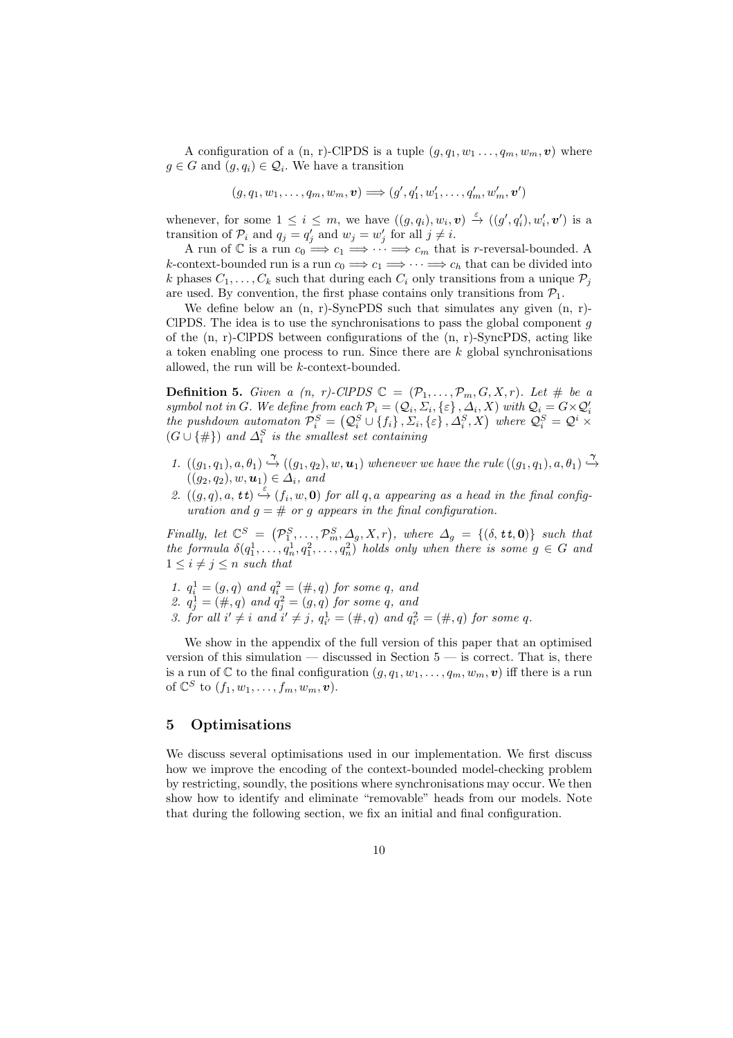A configuration of a (n, r)-ClPDS is a tuple  $(g, q_1, w_1, \ldots, q_m, w_m, v)$  where  $g \in G$  and  $(g, q_i) \in \mathcal{Q}_i$ . We have a transition

$$
(g, q_1, w_1, \ldots, q_m, w_m, \mathbf{v}) \Longrightarrow (g', q'_1, w'_1, \ldots, q'_m, w'_m, \mathbf{v}')
$$

whenever, for some  $1 \leq i \leq m$ , we have  $((g, q_i), w_i, v) \stackrel{\varepsilon}{\rightarrow} ((g', q'_i), w'_i, v')$  is a whenever, for some  $1 \le i \le m$ , we have  $((g, q_i), w_i, v) \to ((g, q_i), w_i)$ <br>transition of  $\mathcal{P}_i$  and  $q_j = q'_j$  and  $w_j = w'_j$  for all  $j \ne i$ .

A run of  $\mathbb C$  is a run  $c_0 \Longrightarrow c_1 \Longrightarrow \cdots \Longrightarrow c_m$  that is *r*-reversal-bounded. A k-context-bounded run is a run  $c_0 \Longrightarrow c_1 \Longrightarrow \cdots \Longrightarrow c_h$  that can be divided into k phases  $C_1, \ldots, C_k$  such that during each  $C_i$  only transitions from a unique  $\mathcal{P}_i$ are used. By convention, the first phase contains only transitions from  $P_1$ .

We define below an  $(n, r)$ -SyncPDS such that simulates any given  $(n, r)$ -CIPDS. The idea is to use the synchronisations to pass the global component  $g$ of the (n, r)-ClPDS between configurations of the (n, r)-SyncPDS, acting like a token enabling one process to run. Since there are  $k$  global synchronisations allowed, the run will be k-context-bounded.

**Definition 5.** Given a  $(n, r)$ -ClPDS  $\mathbb{C} = (\mathcal{P}_1, \ldots, \mathcal{P}_m, G, X, r)$ . Let # be a symbol not in G. We define from each  $\mathcal{P}_i = (\mathcal{Q}_i, \Sigma_i, \{\varepsilon\}, \Delta_i, X)$  with  $\mathcal{Q}_i = G \times \mathcal{Q}'_i$ <br>the pushdown automaton  $\mathcal{P}_i^S = (\mathcal{Q}_i^S \cup \{f_i\}, \Sigma_i, \{\varepsilon\}, \Delta_i^S, X)$  where  $\mathcal{Q}_i^S = \mathcal{Q}^i \times$  $(G \cup \{\#})$  and  $\Delta_i^S$  is the smallest set containing

- 1.  $((g_1, q_1), a, \theta_1) \stackrel{\gamma}{\hookrightarrow} ((g_1, q_2), w, \mathbf{u}_1)$  whenever we have the rule  $((g_1, q_1), a, \theta_1) \stackrel{\gamma}{\hookrightarrow}$  $((g_2,q_2), w, \mathbf{u}_1) \in \mathcal{A}_i$ , and
- 2.  $((g,q),a, \mathbf{t}t) \stackrel{\varepsilon}{\hookrightarrow} (f_i,w,\mathbf{0})$  for all q, a appearing as a head in the final configuration and  $q = #$  or q appears in the final configuration.

Finally, let  $\mathbb{C}^S = (\mathcal{P}_1^S, \ldots, \mathcal{P}_m^S, \Delta_g, X, r)$ , where  $\Delta_g = \{(\delta, \mathbf{t}, \mathbf{0})\}$  such that the formula  $\delta(q_1^1, \ldots, q_n^1, q_1^2, \ldots, q_n^2)$  holds only when there is some  $g \in G$  and  $1 \leq i \neq j \leq n$  such that

1.  $q_i^1 = (g, q)$  and  $q_i^2 = (\#, q)$  for some q, and 2.  $q_j^1 = (\#, q)$  and  $q_j^2 = (g, q)$  for some q, and 3. for all  $i' \neq i$  and  $i' \neq j$ ,  $q_{i'}^1 = (\#, q)$  and  $q_{i'}^2 = (\#, q)$  for some q.

We show in the appendix of the full version of this paper that an optimised version of this simulation  $-$  discussed in Section  $5 -$  is correct. That is, there is a run of C to the final configuration  $(g, q_1, w_1, \ldots, q_m, w_m, v)$  iff there is a run of  $\mathbb{C}^S$  to  $(f_1, w_1, \ldots, f_m, w_m, \boldsymbol{v}).$ 

# 5 Optimisations

We discuss several optimisations used in our implementation. We first discuss how we improve the encoding of the context-bounded model-checking problem by restricting, soundly, the positions where synchronisations may occur. We then show how to identify and eliminate "removable" heads from our models. Note that during the following section, we fix an initial and final configuration.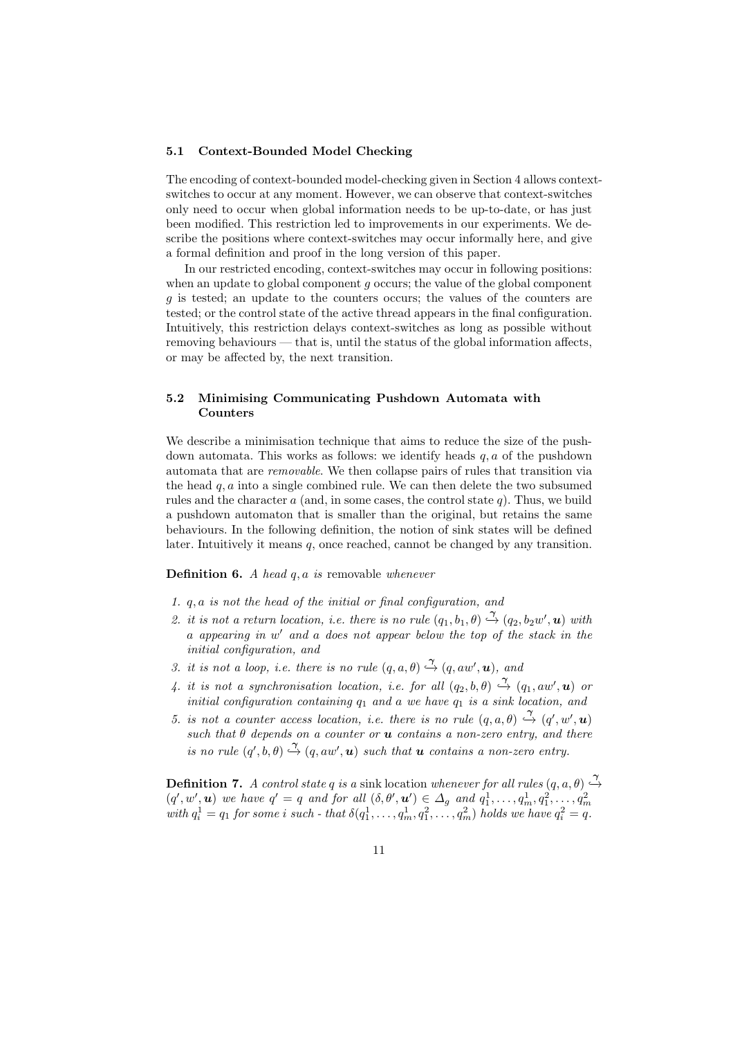#### 5.1 Context-Bounded Model Checking

The encoding of context-bounded model-checking given in Section 4 allows contextswitches to occur at any moment. However, we can observe that context-switches only need to occur when global information needs to be up-to-date, or has just been modified. This restriction led to improvements in our experiments. We describe the positions where context-switches may occur informally here, and give a formal definition and proof in the long version of this paper.

In our restricted encoding, context-switches may occur in following positions: when an update to global component  $g$  occurs; the value of the global component g is tested; an update to the counters occurs; the values of the counters are tested; or the control state of the active thread appears in the final configuration. Intuitively, this restriction delays context-switches as long as possible without removing behaviours — that is, until the status of the global information affects, or may be affected by, the next transition.

# 5.2 Minimising Communicating Pushdown Automata with Counters

We describe a minimisation technique that aims to reduce the size of the pushdown automata. This works as follows: we identify heads  $q, a$  of the pushdown automata that are removable. We then collapse pairs of rules that transition via the head  $q, a$  into a single combined rule. We can then delete the two subsumed rules and the character  $a$  (and, in some cases, the control state  $q$ ). Thus, we build a pushdown automaton that is smaller than the original, but retains the same behaviours. In the following definition, the notion of sink states will be defined later. Intuitively it means  $q$ , once reached, cannot be changed by any transition.

#### **Definition 6.** A head  $q, a$  is removable whenever

- 1. q, a is not the head of the initial or final configuration, and
- 2. it is not a return location, i.e. there is no rule  $(q_1, b_1, \theta) \stackrel{\gamma}{\hookrightarrow} (q_2, b_2w', \mathbf{u})$  with a appearing in w ′ and a does not appear below the top of the stack in the initial configuration, and
- 3. it is not a loop, i.e. there is no rule  $(q, a, \theta) \stackrel{\gamma}{\rightarrow} (q, aw', u)$ , and
- 4. it is not a synchronisation location, i.e. for all  $(q_2, b, \theta) \stackrel{\gamma}{\hookrightarrow} (q_1, aw', u)$  or initial configuration containing  $q_1$  and a we have  $q_1$  is a sink location, and
- 5. is not a counter access location, i.e. there is no rule  $(q, a, \theta) \stackrel{\gamma}{\rightarrow} (q', w', u)$ such that  $\theta$  depends on a counter or  $\boldsymbol{u}$  contains a non-zero entry, and there is no rule  $(q', b, \theta) \stackrel{\gamma}{\hookrightarrow} (q, aw', u)$  such that **u** contains a non-zero entry.

**Definition 7.** A control state q is a sink location whenever for all rules  $(q, a, \theta) \stackrel{\gamma}{\hookrightarrow}$  $(q', w', u)$  we have  $q' = q$  and for all  $(\delta, \theta', u') \in \Delta_g$  and  $q_1^1, \ldots, q_m^1, q_1^2, \ldots, q_m^2$ <br>with  $q_i^1 = q_1$  for some i such - that  $\delta(q_1^1, \ldots, q_m^1, q_1^2, \ldots, q_m^2)$  holds we have  $q_i^2 = q$ .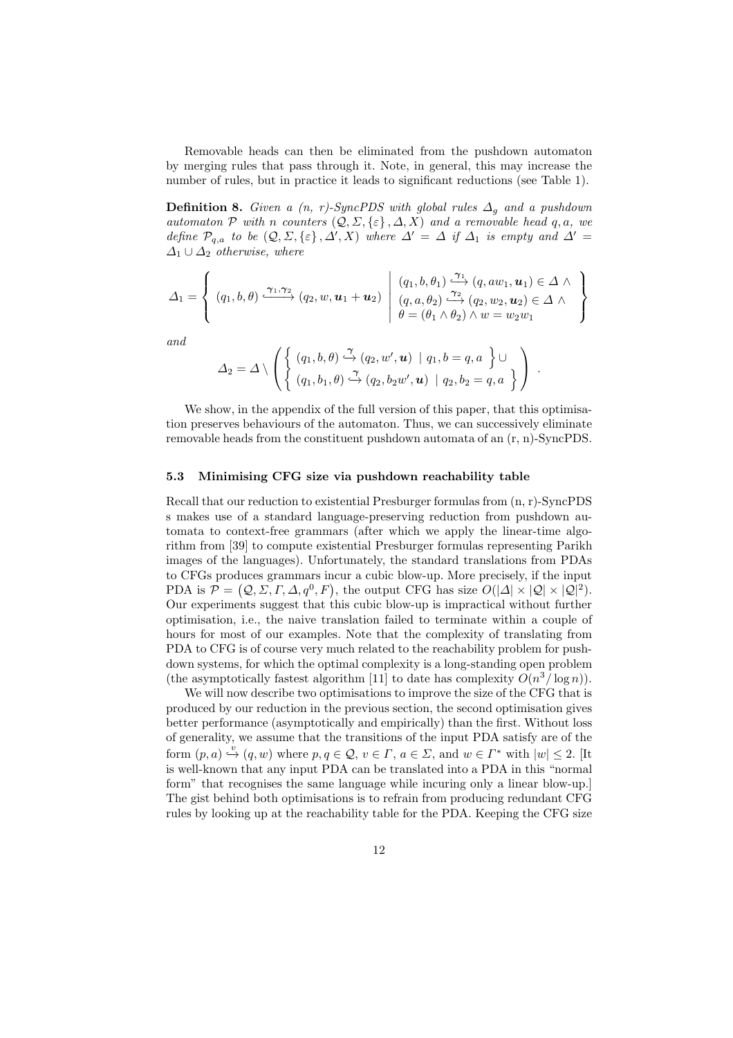Removable heads can then be eliminated from the pushdown automaton by merging rules that pass through it. Note, in general, this may increase the number of rules, but in practice it leads to significant reductions (see Table 1).

**Definition 8.** Given a  $(n, r)$ -SyncPDS with global rules  $\Delta_g$  and a pushdown automaton P with n counters  $(Q, \Sigma, {\varepsilon}, \Lambda, X)$  and a removable head q, a, we define  $\mathcal{P}_{q,a}$  to be  $(\mathcal{Q}, \Sigma, \{\varepsilon\}, \Delta', X)$  where  $\Delta' = \Delta$  if  $\Delta_1$  is empty and  $\Delta' =$  $\Delta_1 \cup \Delta_2$  otherwise, where

$$
\Delta_1 = \left\{ (q_1, b, \theta) \xrightarrow{\gamma_1, \gamma_2} (q_2, w, \mathbf{u}_1 + \mathbf{u}_2) \middle| \begin{array}{l} (q_1, b, \theta_1) \xrightarrow{\gamma_1} (q, aw_1, \mathbf{u}_1) \in \Delta \wedge \\ (q, a, \theta_2) \xrightarrow{\gamma_2} (q_2, w_2, \mathbf{u}_2) \in \Delta \wedge \\ \theta = (\theta_1 \wedge \theta_2) \wedge w = w_2 w_1 \end{array} \right\}
$$

and

$$
\Delta_2 = \Delta \setminus \left( \left\{ \begin{array}{l} (q_1, b, \theta) \stackrel{\gamma}{\hookrightarrow} (q_2, w', \mathbf{u}) \mid q_1, b = q, a \\ (q_1, b_1, \theta) \stackrel{\gamma}{\hookrightarrow} (q_2, b_2w', \mathbf{u}) \mid q_2, b_2 = q, a \end{array} \right\} \right) .
$$

We show, in the appendix of the full version of this paper, that this optimisation preserves behaviours of the automaton. Thus, we can successively eliminate removable heads from the constituent pushdown automata of an (r, n)-SyncPDS.

#### 5.3 Minimising CFG size via pushdown reachability table

Recall that our reduction to existential Presburger formulas from (n, r)-SyncPDS s makes use of a standard language-preserving reduction from pushdown automata to context-free grammars (after which we apply the linear-time algorithm from [39] to compute existential Presburger formulas representing Parikh images of the languages). Unfortunately, the standard translations from PDAs to CFGs produces grammars incur a cubic blow-up. More precisely, if the input PDA is  $\mathcal{P} = (Q, \Sigma, \Gamma, \Delta, q^0, F)$ , the output CFG has size  $O(|\Delta| \times |Q| \times |Q|^2)$ . Our experiments suggest that this cubic blow-up is impractical without further optimisation, i.e., the naive translation failed to terminate within a couple of hours for most of our examples. Note that the complexity of translating from PDA to CFG is of course very much related to the reachability problem for pushdown systems, for which the optimal complexity is a long-standing open problem (the asymptotically fastest algorithm [11] to date has complexity  $O(n^3/\log n)$ ).

We will now describe two optimisations to improve the size of the CFG that is produced by our reduction in the previous section, the second optimisation gives better performance (asymptotically and empirically) than the first. Without loss of generality, we assume that the transitions of the input PDA satisfy are of the form  $(p, a) \stackrel{\cdot v}{\hookrightarrow} (q, w)$  where  $p, q \in \mathcal{Q}, v \in \Gamma, a \in \Sigma$ , and  $w \in \Gamma^*$  with  $|w| \leq 2$ . [It is well-known that any input PDA can be translated into a PDA in this "normal form" that recognises the same language while incuring only a linear blow-up.] The gist behind both optimisations is to refrain from producing redundant CFG rules by looking up at the reachability table for the PDA. Keeping the CFG size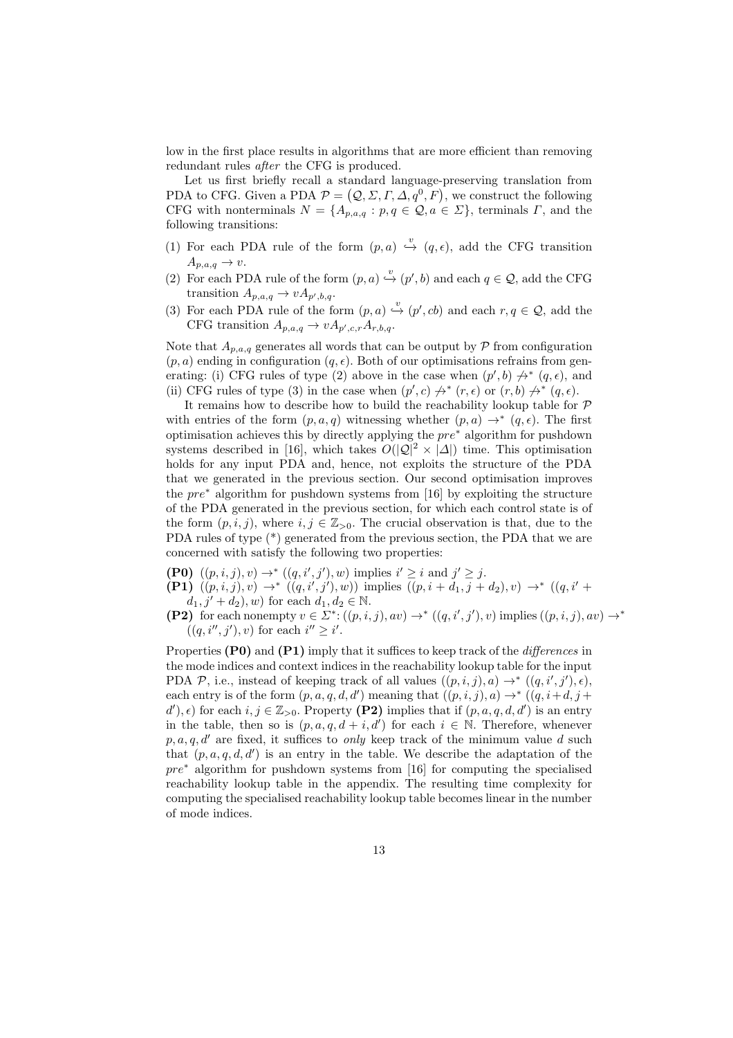low in the first place results in algorithms that are more efficient than removing redundant rules after the CFG is produced.

Let us first briefly recall a standard language-preserving translation from PDA to CFG. Given a PDA  $\mathcal{P} = (\mathcal{Q}, \Sigma, \Gamma, \Delta, q^0, F)$ , we construct the following CFG with nonterminals  $N = \{A_{p,a,q} : p,q \in \mathcal{Q}, a \in \Sigma\}$ , terminals  $\Gamma$ , and the following transitions:

- (1) For each PDA rule of the form  $(p, a) \stackrel{v}{\hookrightarrow} (q, \epsilon)$ , add the CFG transition  $A_{p,a,q} \to v.$
- (2) For each PDA rule of the form  $(p, a) \stackrel{v}{\hookrightarrow} (p', b)$  and each  $q \in \mathcal{Q}$ , add the CFG transition  $A_{p,a,q} \to vA_{p',b,q}$ .
- (3) For each PDA rule of the form  $(p, a) \stackrel{v}{\hookrightarrow} (p', cb)$  and each  $r, q \in \mathcal{Q}$ , add the CFG transition  $A_{p,a,q} \to vA_{p',c,r}A_{r,b,q}$ .

Note that  $A_{p,a,q}$  generates all words that can be output by  $P$  from configuration  $(p, a)$  ending in configuration  $(q, \epsilon)$ . Both of our optimisations refrains from generating: (i) CFG rules of type (2) above in the case when  $(p', b) \nrightarrow^* (q, \epsilon)$ , and (ii) CFG rules of type (3) in the case when  $(p', c) \nrightarrow^* (r, \epsilon)$  or  $(r, b) \nrightarrow^* (q, \epsilon)$ .

It remains how to describe how to build the reachability lookup table for  $P$ with entries of the form  $(p, a, q)$  witnessing whether  $(p, a) \rightarrow^* (q, \epsilon)$ . The first optimisation achieves this by directly applying the pre<sup>∗</sup> algorithm for pushdown systems described in [16], which takes  $O(|\mathcal{Q}|^2 \times |\mathcal{A}|)$  time. This optimisation holds for any input PDA and, hence, not exploits the structure of the PDA that we generated in the previous section. Our second optimisation improves the pre<sup>∗</sup> algorithm for pushdown systems from [16] by exploiting the structure of the PDA generated in the previous section, for which each control state is of the form  $(p, i, j)$ , where  $i, j \in \mathbb{Z}_{>0}$ . The crucial observation is that, due to the PDA rules of type (\*) generated from the previous section, the PDA that we are concerned with satisfy the following two properties:

- **(P0)**  $((p, i, j), v) \rightarrow^* ((q, i', j'), w)$  implies  $i' \geq i$  and  $j' \geq j$ .
- (P1)  $((p, i, j), v)$  →  $((q, i', j'), w)$  implies  $((p, i + d_1, j + d_2), v)$  →  $((q, i' +$

 $d_1, j' + d_2$ , w) for each  $d_1, d_2 \in \mathbb{N}$ .

(P2) for each nonempty  $v \in \Sigma^* : ((p, i, j), av) \to^* ((q, i', j'), v)$  implies  $((p, i, j), av) \to^*$  $((q, i'', j'), v)$  for each  $i'' \geq i'$ .

Properties (P0) and (P1) imply that it suffices to keep track of the *differences* in the mode indices and context indices in the reachability lookup table for the input PDA P, i.e., instead of keeping track of all values  $((p, i, j), a) \rightarrow^* ((q, i', j'), \epsilon)$ , each entry is of the form  $(p, a, q, d, d')$  meaning that  $((p, i, j), a) \rightarrow^* ((q, i+d, j+d)$  $(d')$ ,  $\epsilon$ ) for each  $i, j \in \mathbb{Z}_{>0}$ . Property (P2) implies that if  $(p, a, q, d, d')$  is an entry in the table, then so is  $(p, a, q, d + i, d')$  for each  $i \in \mathbb{N}$ . Therefore, whenever p, a, q, d' are fixed, it suffices to only keep track of the minimum value d such that  $(p, a, q, d, d')$  is an entry in the table. We describe the adaptation of the  $pre^*$  algorithm for pushdown systems from [16] for computing the specialised reachability lookup table in the appendix. The resulting time complexity for computing the specialised reachability lookup table becomes linear in the number of mode indices.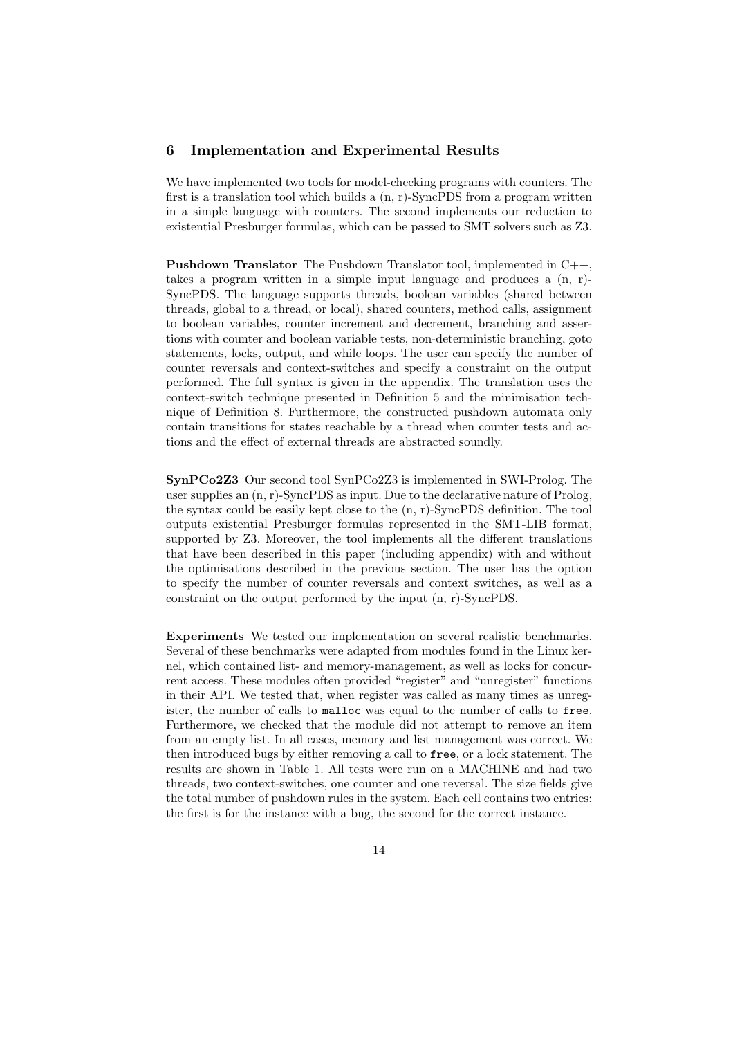## 6 Implementation and Experimental Results

We have implemented two tools for model-checking programs with counters. The first is a translation tool which builds a  $(n, r)$ -SyncPDS from a program written in a simple language with counters. The second implements our reduction to existential Presburger formulas, which can be passed to SMT solvers such as Z3.

**Pushdown Translator** The Pushdown Translator tool, implemented in  $C++$ . takes a program written in a simple input language and produces a (n, r)- SyncPDS. The language supports threads, boolean variables (shared between threads, global to a thread, or local), shared counters, method calls, assignment to boolean variables, counter increment and decrement, branching and assertions with counter and boolean variable tests, non-deterministic branching, goto statements, locks, output, and while loops. The user can specify the number of counter reversals and context-switches and specify a constraint on the output performed. The full syntax is given in the appendix. The translation uses the context-switch technique presented in Definition 5 and the minimisation technique of Definition 8. Furthermore, the constructed pushdown automata only contain transitions for states reachable by a thread when counter tests and actions and the effect of external threads are abstracted soundly.

SynPCo2Z3 Our second tool SynPCo2Z3 is implemented in SWI-Prolog. The user supplies an (n, r)-SyncPDS as input. Due to the declarative nature of Prolog, the syntax could be easily kept close to the (n, r)-SyncPDS definition. The tool outputs existential Presburger formulas represented in the SMT-LIB format, supported by Z3. Moreover, the tool implements all the different translations that have been described in this paper (including appendix) with and without the optimisations described in the previous section. The user has the option to specify the number of counter reversals and context switches, as well as a constraint on the output performed by the input (n, r)-SyncPDS.

Experiments We tested our implementation on several realistic benchmarks. Several of these benchmarks were adapted from modules found in the Linux kernel, which contained list- and memory-management, as well as locks for concurrent access. These modules often provided "register" and "unregister" functions in their API. We tested that, when register was called as many times as unregister, the number of calls to malloc was equal to the number of calls to free. Furthermore, we checked that the module did not attempt to remove an item from an empty list. In all cases, memory and list management was correct. We then introduced bugs by either removing a call to free, or a lock statement. The results are shown in Table 1. All tests were run on a MACHINE and had two threads, two context-switches, one counter and one reversal. The size fields give the total number of pushdown rules in the system. Each cell contains two entries: the first is for the instance with a bug, the second for the correct instance.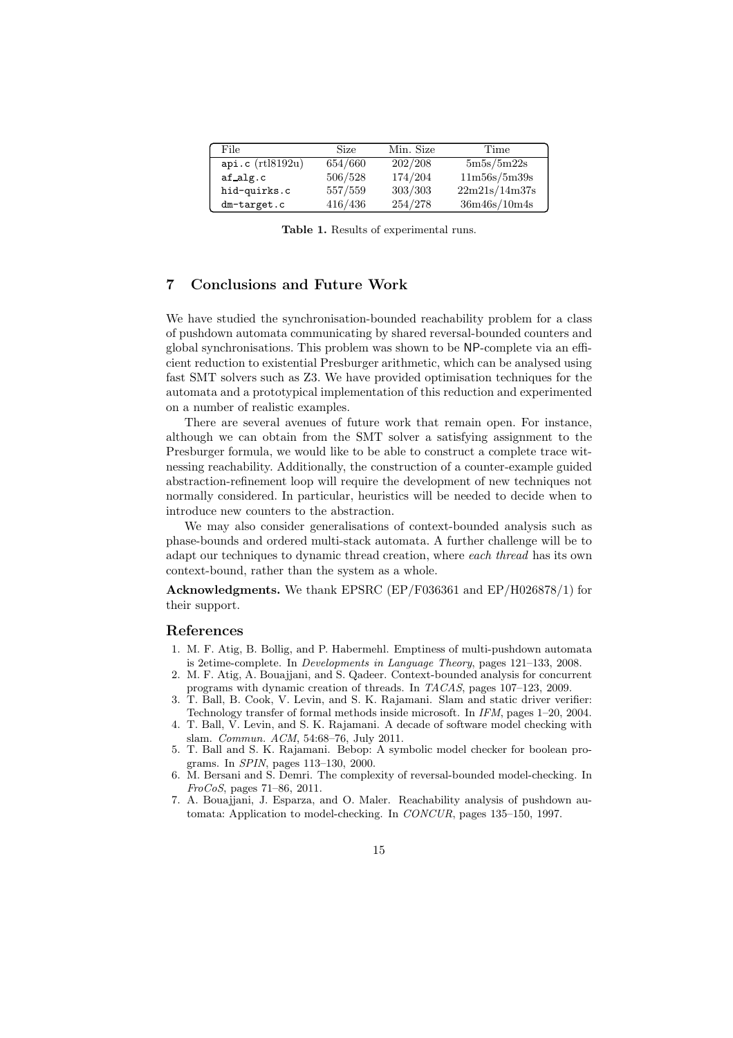| File             | Size    | Min. Size | Time          |
|------------------|---------|-----------|---------------|
| api.c (rtl8192u) | 654/660 | 202/208   | 5m5s/5m22s    |
| af alg.c         | 506/528 | 174/204   | 11m56s/5m39s  |
| hid-quirks.c     | 557/559 | 303/303   | 22m21s/14m37s |
| dm-target.c      | 416/436 | 254/278   | 36m46s/10m4s  |

Table 1. Results of experimental runs.

# 7 Conclusions and Future Work

We have studied the synchronisation-bounded reachability problem for a class of pushdown automata communicating by shared reversal-bounded counters and global synchronisations. This problem was shown to be NP-complete via an efficient reduction to existential Presburger arithmetic, which can be analysed using fast SMT solvers such as Z3. We have provided optimisation techniques for the automata and a prototypical implementation of this reduction and experimented on a number of realistic examples.

There are several avenues of future work that remain open. For instance, although we can obtain from the SMT solver a satisfying assignment to the Presburger formula, we would like to be able to construct a complete trace witnessing reachability. Additionally, the construction of a counter-example guided abstraction-refinement loop will require the development of new techniques not normally considered. In particular, heuristics will be needed to decide when to introduce new counters to the abstraction.

We may also consider generalisations of context-bounded analysis such as phase-bounds and ordered multi-stack automata. A further challenge will be to adapt our techniques to dynamic thread creation, where each thread has its own context-bound, rather than the system as a whole.

Acknowledgments. We thank EPSRC (EP/F036361 and EP/H026878/1) for their support.

#### References

- 1. M. F. Atig, B. Bollig, and P. Habermehl. Emptiness of multi-pushdown automata is 2etime-complete. In *Developments in Language Theory*, pages 121–133, 2008.
- 2. M. F. Atig, A. Bouajjani, and S. Qadeer. Context-bounded analysis for concurrent programs with dynamic creation of threads. In *TACAS*, pages 107–123, 2009.
- 3. T. Ball, B. Cook, V. Levin, and S. K. Rajamani. Slam and static driver verifier: Technology transfer of formal methods inside microsoft. In *IFM*, pages 1–20, 2004.
- 4. T. Ball, V. Levin, and S. K. Rajamani. A decade of software model checking with slam. *Commun. ACM*, 54:68–76, July 2011.
- 5. T. Ball and S. K. Rajamani. Bebop: A symbolic model checker for boolean programs. In *SPIN*, pages 113–130, 2000.
- 6. M. Bersani and S. Demri. The complexity of reversal-bounded model-checking. In *FroCoS*, pages 71–86, 2011.
- 7. A. Bouajjani, J. Esparza, and O. Maler. Reachability analysis of pushdown automata: Application to model-checking. In *CONCUR*, pages 135–150, 1997.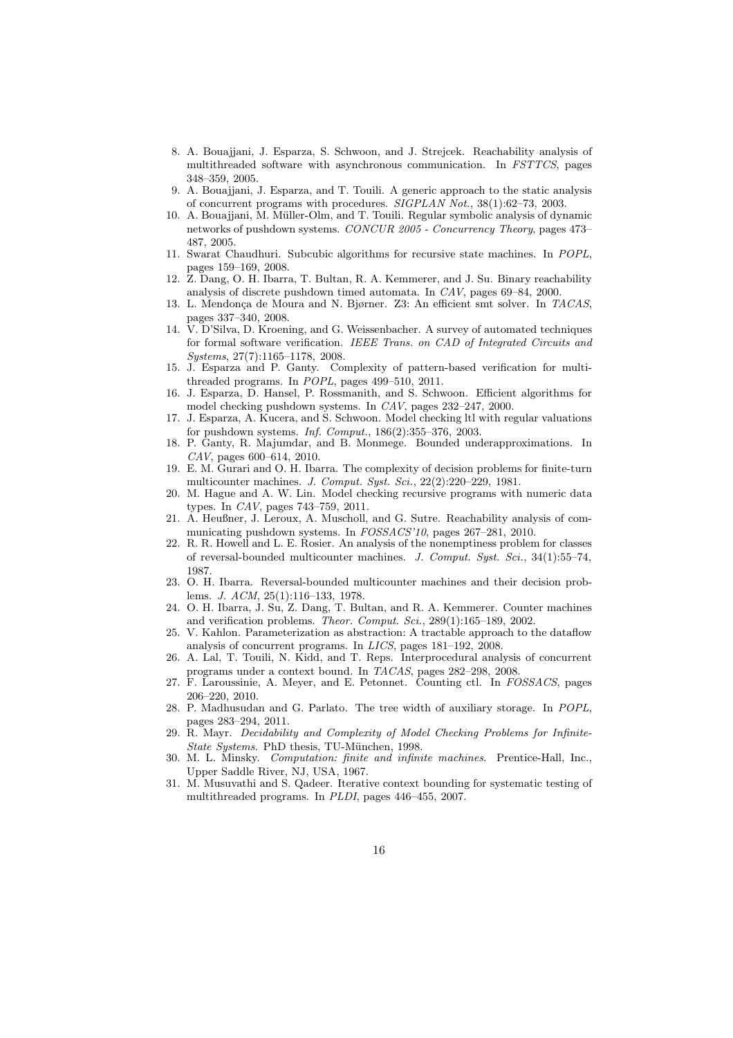- 8. A. Bouajjani, J. Esparza, S. Schwoon, and J. Strejcek. Reachability analysis of multithreaded software with asynchronous communication. In *FSTTCS*, pages 348–359, 2005.
- 9. A. Bouajjani, J. Esparza, and T. Touili. A generic approach to the static analysis of concurrent programs with procedures. *SIGPLAN Not.*, 38(1):62–73, 2003.
- 10. A. Bouajjani, M. Müller-Olm, and T. Touili. Regular symbolic analysis of dynamic networks of pushdown systems. *CONCUR 2005 - Concurrency Theory*, pages 473– 487, 2005.
- 11. Swarat Chaudhuri. Subcubic algorithms for recursive state machines. In *POPL*, pages 159–169, 2008.
- 12. Z. Dang, O. H. Ibarra, T. Bultan, R. A. Kemmerer, and J. Su. Binary reachability analysis of discrete pushdown timed automata. In *CAV*, pages 69–84, 2000.
- 13. L. Mendonça de Moura and N. Bjørner. Z3: An efficient smt solver. In *TACAS*, pages 337–340, 2008.
- 14. V. D'Silva, D. Kroening, and G. Weissenbacher. A survey of automated techniques for formal software verification. *IEEE Trans. on CAD of Integrated Circuits and Systems*, 27(7):1165–1178, 2008.
- 15. J. Esparza and P. Ganty. Complexity of pattern-based verification for multithreaded programs. In *POPL*, pages 499–510, 2011.
- 16. J. Esparza, D. Hansel, P. Rossmanith, and S. Schwoon. Efficient algorithms for model checking pushdown systems. In *CAV*, pages 232–247, 2000.
- 17. J. Esparza, A. Kucera, and S. Schwoon. Model checking ltl with regular valuations for pushdown systems. *Inf. Comput.*, 186(2):355–376, 2003.
- 18. P. Ganty, R. Majumdar, and B. Monmege. Bounded underapproximations. In *CAV*, pages 600–614, 2010.
- 19. E. M. Gurari and O. H. Ibarra. The complexity of decision problems for finite-turn multicounter machines. *J. Comput. Syst. Sci.*, 22(2):220–229, 1981.
- 20. M. Hague and A. W. Lin. Model checking recursive programs with numeric data types. In *CAV*, pages 743–759, 2011.
- 21. A. Heußner, J. Leroux, A. Muscholl, and G. Sutre. Reachability analysis of communicating pushdown systems. In *FOSSACS'10*, pages 267–281, 2010.
- 22. R. R. Howell and L. E. Rosier. An analysis of the nonemptiness problem for classes of reversal-bounded multicounter machines. *J. Comput. Syst. Sci.*, 34(1):55–74, 1987.
- 23. O. H. Ibarra. Reversal-bounded multicounter machines and their decision problems. *J. ACM*, 25(1):116–133, 1978.
- 24. O. H. Ibarra, J. Su, Z. Dang, T. Bultan, and R. A. Kemmerer. Counter machines and verification problems. *Theor. Comput. Sci.*, 289(1):165–189, 2002.
- 25. V. Kahlon. Parameterization as abstraction: A tractable approach to the dataflow analysis of concurrent programs. In *LICS*, pages 181–192, 2008.
- 26. A. Lal, T. Touili, N. Kidd, and T. Reps. Interprocedural analysis of concurrent programs under a context bound. In *TACAS*, pages 282–298, 2008.
- 27. F. Laroussinie, A. Meyer, and E. Petonnet. Counting ctl. In *FOSSACS*, pages 206–220, 2010.
- 28. P. Madhusudan and G. Parlato. The tree width of auxiliary storage. In *POPL*, pages 283–294, 2011.
- 29. R. Mayr. *Decidability and Complexity of Model Checking Problems for Infinite-State Systems*. PhD thesis, TU-M¨unchen, 1998.
- 30. M. L. Minsky. *Computation: finite and infinite machines*. Prentice-Hall, Inc., Upper Saddle River, NJ, USA, 1967.
- 31. M. Musuvathi and S. Qadeer. Iterative context bounding for systematic testing of multithreaded programs. In *PLDI*, pages 446–455, 2007.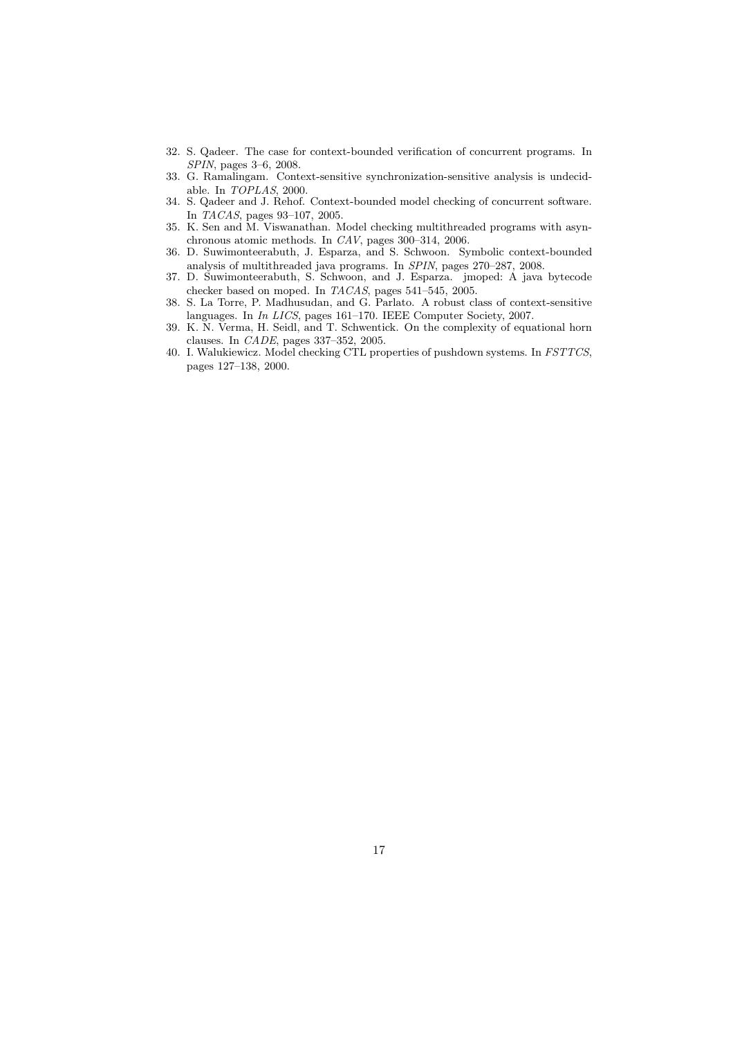- 32. S. Qadeer. The case for context-bounded verification of concurrent programs. In *SPIN*, pages 3–6, 2008.
- 33. G. Ramalingam. Context-sensitive synchronization-sensitive analysis is undecidable. In *TOPLAS*, 2000.
- 34. S. Qadeer and J. Rehof. Context-bounded model checking of concurrent software. In *TACAS*, pages 93–107, 2005.
- 35. K. Sen and M. Viswanathan. Model checking multithreaded programs with asynchronous atomic methods. In *CAV*, pages 300–314, 2006.
- 36. D. Suwimonteerabuth, J. Esparza, and S. Schwoon. Symbolic context-bounded analysis of multithreaded java programs. In *SPIN*, pages 270–287, 2008.
- 37. D. Suwimonteerabuth, S. Schwoon, and J. Esparza. jmoped: A java bytecode checker based on moped. In *TACAS*, pages 541–545, 2005.
- 38. S. La Torre, P. Madhusudan, and G. Parlato. A robust class of context-sensitive languages. In *In LICS*, pages 161–170. IEEE Computer Society, 2007.
- 39. K. N. Verma, H. Seidl, and T. Schwentick. On the complexity of equational horn clauses. In *CADE*, pages 337–352, 2005.
- 40. I. Walukiewicz. Model checking CTL properties of pushdown systems. In *FSTTCS*, pages 127–138, 2000.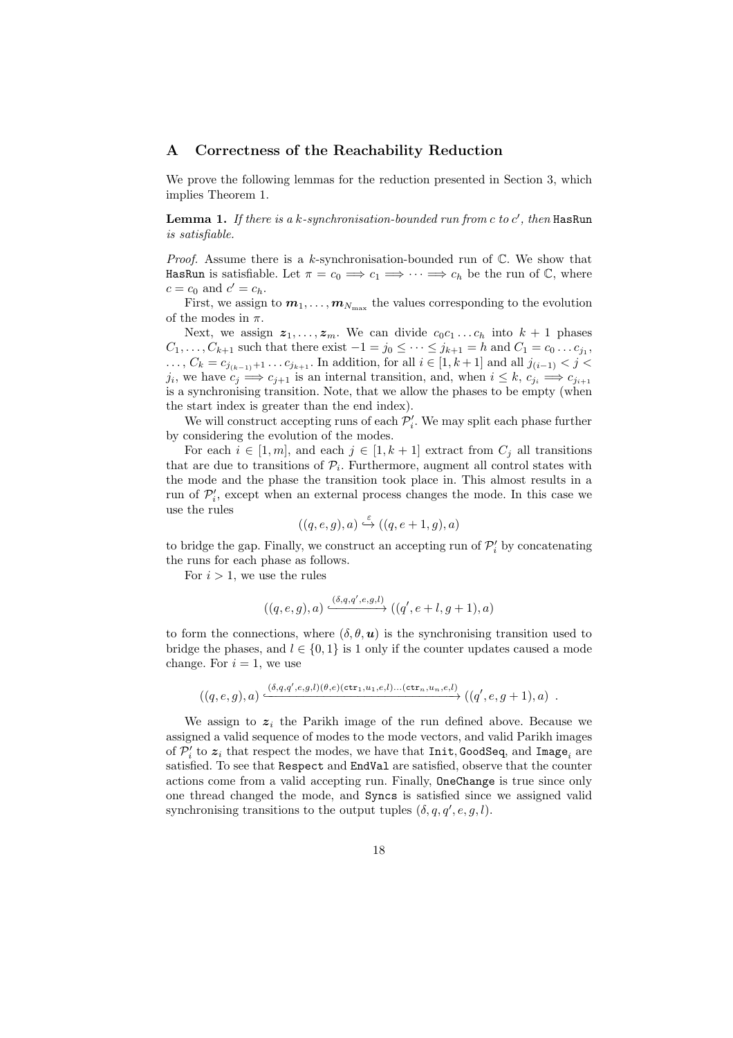## A Correctness of the Reachability Reduction

We prove the following lemmas for the reduction presented in Section 3, which implies Theorem 1.

**Lemma 1.** If there is a  $k$ -synchronisation-bounded run from  $c$  to  $c'$ , then HasRun is satisfiable.

*Proof.* Assume there is a k-synchronisation-bounded run of  $\mathbb{C}$ . We show that HasRun is satisfiable. Let  $\pi = c_0 \implies c_1 \implies \cdots \implies c_h$  be the run of  $\mathbb{C}$ , where  $c = c_0$  and  $c' = c_h$ .

First, we assign to  $m_1, \ldots, m_{N_{\text{max}}}$  the values corresponding to the evolution of the modes in  $\pi$ .

Next, we assign  $z_1, \ldots, z_m$ . We can divide  $c_0c_1 \ldots c_h$  into  $k+1$  phases  $C_1, \ldots, C_{k+1}$  such that there exist  $-1 = j_0 \leq \cdots \leq j_{k+1} = h$  and  $C_1 = c_0 \ldots c_{j_1}$ , ...,  $C_k = c_{j_{(k-1)}+1} \dots c_{j_{k+1}}$ . In addition, for all  $i \in [1, k+1]$  and all  $j_{(i-1)} < j$  <  $j_i$ , we have  $c_j \implies c_{j+1}$  is an internal transition, and, when  $i \leq k$ ,  $c_{j_i} \implies c_{j_{i+1}}$ is a synchronising transition. Note, that we allow the phases to be empty (when the start index is greater than the end index).

We will construct accepting runs of each  $\mathcal{P}'_i$ . We may split each phase further by considering the evolution of the modes.

For each  $i \in [1, m]$ , and each  $j \in [1, k + 1]$  extract from  $C_j$  all transitions that are due to transitions of  $P_i$ . Furthermore, augment all control states with the mode and the phase the transition took place in. This almost results in a run of  $\mathcal{P}'_i$ , except when an external process changes the mode. In this case we use the rules

$$
((q,e,g),a) \stackrel{\varepsilon}{\hookrightarrow} ((q,e+1,g),a)
$$

to bridge the gap. Finally, we construct an accepting run of  $\mathcal{P}'_i$  by concatenating the runs for each phase as follows.

For  $i > 1$ , we use the rules

$$
((q,e,g),a)\xrightarrow{(\delta,q,q',e,g,l)}((q',e+l,g+1),a)
$$

to form the connections, where  $(\delta, \theta, \mathbf{u})$  is the synchronising transition used to bridge the phases, and  $l \in \{0, 1\}$  is 1 only if the counter updates caused a mode change. For  $i = 1$ , we use

$$
((q,e,g),a)\xrightarrow{(\delta,q,q',e,g,l)(\theta,e)(\texttt{ctr}_1,u_1,e,l)\dots(\texttt{ctr}_n,u_n,e,l)}((q',e,g+1),a) .
$$

We assign to  $z_i$  the Parikh image of the run defined above. Because we assigned a valid sequence of modes to the mode vectors, and valid Parikh images of  $\mathcal{P}'_i$  to  $\boldsymbol{z}_i$  that respect the modes, we have that  $\texttt{Init}, \texttt{GoodSeq},$  and  $\texttt{Image}_i$  are satisfied. To see that Respect and EndVal are satisfied, observe that the counter actions come from a valid accepting run. Finally, OneChange is true since only one thread changed the mode, and Syncs is satisfied since we assigned valid synchronising transitions to the output tuples  $(\delta, q, q', e, g, l)$ .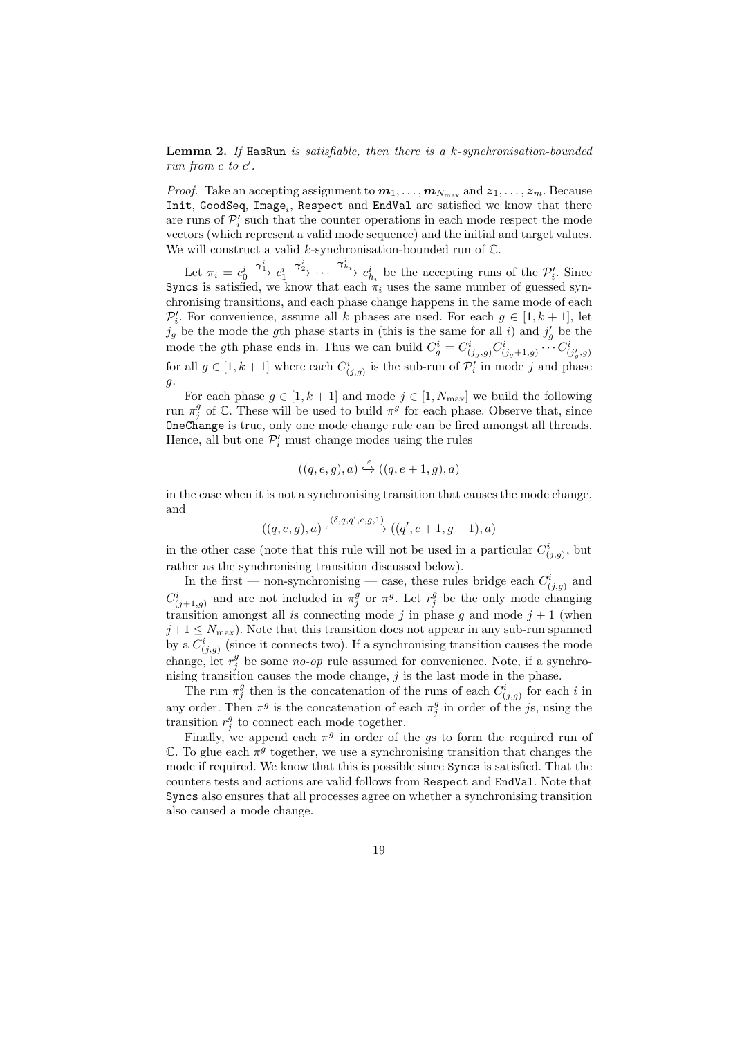**Lemma 2.** If HasRun is satisfiable, then there is a  $k$ -synchronisation-bounded run from  $c$  to  $c'$ .

*Proof.* Take an accepting assignment to  $m_1, \ldots, m_{N_{\text{max}}}$  and  $z_1, \ldots, z_m$ . Because  $Init$ , GoodSeq,  $Image_i$ , Respect and EndVal are satisfied we know that there are runs of  $\mathcal{P}'_i$  such that the counter operations in each mode respect the mode vectors (which represent a valid mode sequence) and the initial and target values. We will construct a valid k-synchronisation-bounded run of  $\mathbb{C}$ .

Let  $\pi_i = c_0^i$  $\stackrel{\boldsymbol{\gamma}_1^i}{\longrightarrow} c_1^i$  $\frac{\gamma_2^i}{\longrightarrow} \cdots \frac{\gamma_{h_i}^i}{\gamma_{h_i}}$  be the accepting runs of the  $\mathcal{P}'_i$ . Since Syncs is satisfied, we know that each  $\pi_i$  uses the same number of guessed synchronising transitions, and each phase change happens in the same mode of each  $\mathcal{P}'_i$ . For convenience, assume all k phases are used. For each  $g \in [1, k + 1]$ , let  $j_g$  be the mode the gth phase starts in (this is the same for all i) and  $j'_g$  be the mode the gth phase ends in. Thus we can build  $C_g^i = C^i_{(j_g,g)} C^i_{(j_g+1,g)} \cdots C^i_{(j'_g,g)}$ for all  $g \in [1, k+1]$  where each  $C^i_{(j,g)}$  is the sub-run of  $\mathcal{P}'_i$  in mode j and phase g.

For each phase  $g \in [1, k+1]$  and mode  $j \in [1, N_{\text{max}}]$  we build the following run  $\pi_j^g$  of  $\mathbb C$ . These will be used to build  $\pi^g$  for each phase. Observe that, since OneChange is true, only one mode change rule can be fired amongst all threads. Hence, all but one  $\mathcal{P}'_i$  must change modes using the rules

$$
((q,e,g),a) \stackrel{\varepsilon}{\hookrightarrow} ((q,e+1,g),a)
$$

in the case when it is not a synchronising transition that causes the mode change, and

$$
((q,e,g),a)\xrightarrow{(\delta,q,q',e,g,1)} ((q',e+1,g+1),a)
$$

in the other case (note that this rule will not be used in a particular  $C^i_{(j,g)}$ , but rather as the synchronising transition discussed below).

In the first — non-synchronising — case, these rules bridge each  $C^i_{(j,g)}$  and  $C^i_{(j+1,g)}$  and are not included in  $\pi_j^g$  or  $\pi^g$ . Let  $r_j^g$  be the only mode changing transition amongst all is connecting mode j in phase g and mode  $j + 1$  (when  $j+1 \leq N_{\text{max}}$ ). Note that this transition does not appear in any sub-run spanned by a  $C^i_{(j,g)}$  (since it connects two). If a synchronising transition causes the mode change, let  $r_j^g$  be some no-op rule assumed for convenience. Note, if a synchronising transition causes the mode change,  $j$  is the last mode in the phase.

The run  $\pi_j^g$  then is the concatenation of the runs of each  $C^i_{(j,g)}$  for each i in any order. Then  $\pi^g$  is the concatenation of each  $\pi^g_j$  in order of the js, using the transition  $r_j^g$  to connect each mode together.

Finally, we append each  $\pi^g$  in order of the gs to form the required run of  $\mathbb C$ . To glue each  $\pi^g$  together, we use a synchronising transition that changes the mode if required. We know that this is possible since Syncs is satisfied. That the counters tests and actions are valid follows from Respect and EndVal. Note that Syncs also ensures that all processes agree on whether a synchronising transition also caused a mode change.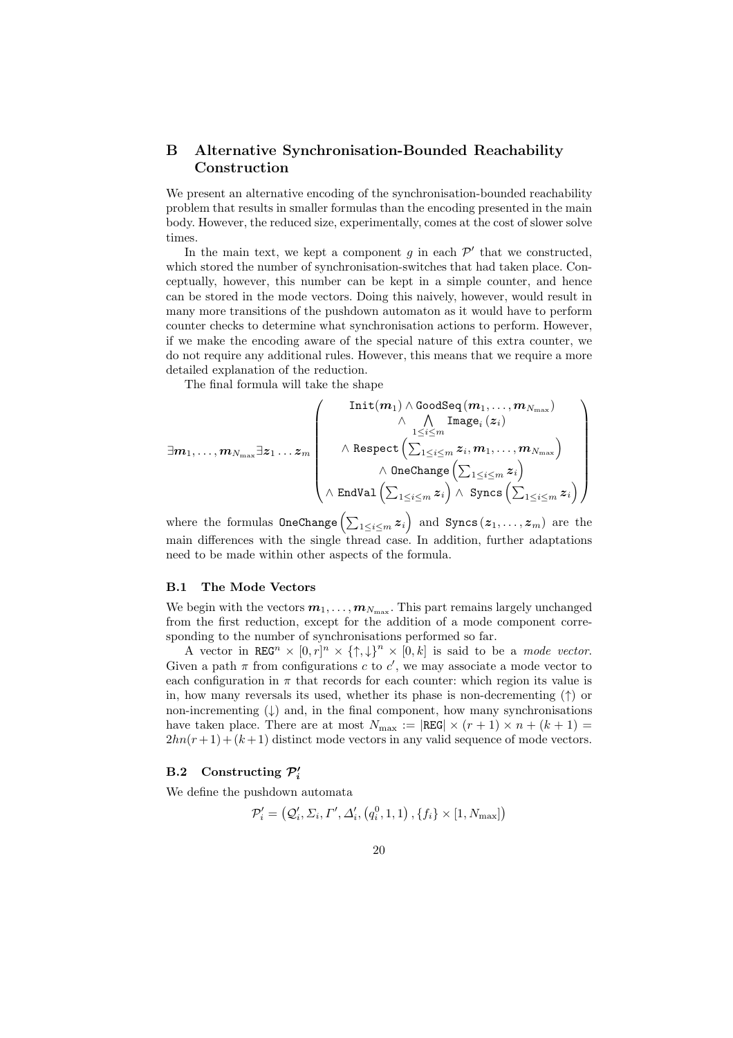# B Alternative Synchronisation-Bounded Reachability Construction

We present an alternative encoding of the synchronisation-bounded reachability problem that results in smaller formulas than the encoding presented in the main body. However, the reduced size, experimentally, comes at the cost of slower solve times.

In the main text, we kept a component  $g$  in each  $\mathcal{P}'$  that we constructed, which stored the number of synchronisation-switches that had taken place. Conceptually, however, this number can be kept in a simple counter, and hence can be stored in the mode vectors. Doing this naively, however, would result in many more transitions of the pushdown automaton as it would have to perform counter checks to determine what synchronisation actions to perform. However, if we make the encoding aware of the special nature of this extra counter, we do not require any additional rules. However, this means that we require a more detailed explanation of the reduction.

The final formula will take the shape

$$
\exists m_1, \ldots, m_{N_{\max}} \exists z_1 \ldots z_m \left( \begin{array}{c} \text{Init}(m_1) \wedge \text{GoodSeq}(m_1, \ldots, m_{N_{\max}}) \\ \wedge \quad \bigwedge_{1 \leq i \leq m} \text{Image}_i(z_i) \\ \wedge \text{Respect}\left(\sum_{1 \leq i \leq m} z_i, m_1, \ldots, m_{N_{\max}} \right) \\ \wedge \text{ OneChange}\left(\sum_{1 \leq i \leq m} z_i \right) \wedge \text{ Syncs}\left(\sum_{1 \leq i \leq m} z_i \right) \end{array} \right)
$$

where the formulas  $\mathtt{OneChange}\left(\sum_{1\leq i\leq m}\boldsymbol{z}_i\right)$  and  $\mathtt{Syncs}\left(\boldsymbol{z}_1,\ldots,\boldsymbol{z}_m\right)$  are the main differences with the single thread case. In addition, further adaptations need to be made within other aspects of the formula.

## B.1 The Mode Vectors

We begin with the vectors  $m_1, \ldots, m_{N_{\text{max}}}$ . This part remains largely unchanged from the first reduction, except for the addition of a mode component corresponding to the number of synchronisations performed so far.

A vector in REG<sup>n</sup>  $\times$   $[0,r]^n$   $\times$   $\{\uparrow,\downarrow\}^n$   $\times$   $[0,k]$  is said to be a mode vector. Given a path  $\pi$  from configurations c to c', we may associate a mode vector to each configuration in  $\pi$  that records for each counter: which region its value is in, how many reversals its used, whether its phase is non-decrementing  $(†)$  or non-incrementing  $(\downarrow)$  and, in the final component, how many synchronisations have taken place. There are at most  $N_{\text{max}} := |\text{REG}| \times (r+1) \times n + (k+1) =$  $2hn(r+1) + (k+1)$  distinct mode vectors in any valid sequence of mode vectors.

# B.2 Constructing  $\mathcal{P}'_i$

We define the pushdown automata

$$
\mathcal{P}'_i = \left( \mathcal{Q}'_i, \Sigma_i, \Gamma', \Delta'_i, \left( q^0_i, 1, 1 \right), \{ f_i \} \times [1, N_{\text{max}}] \right)
$$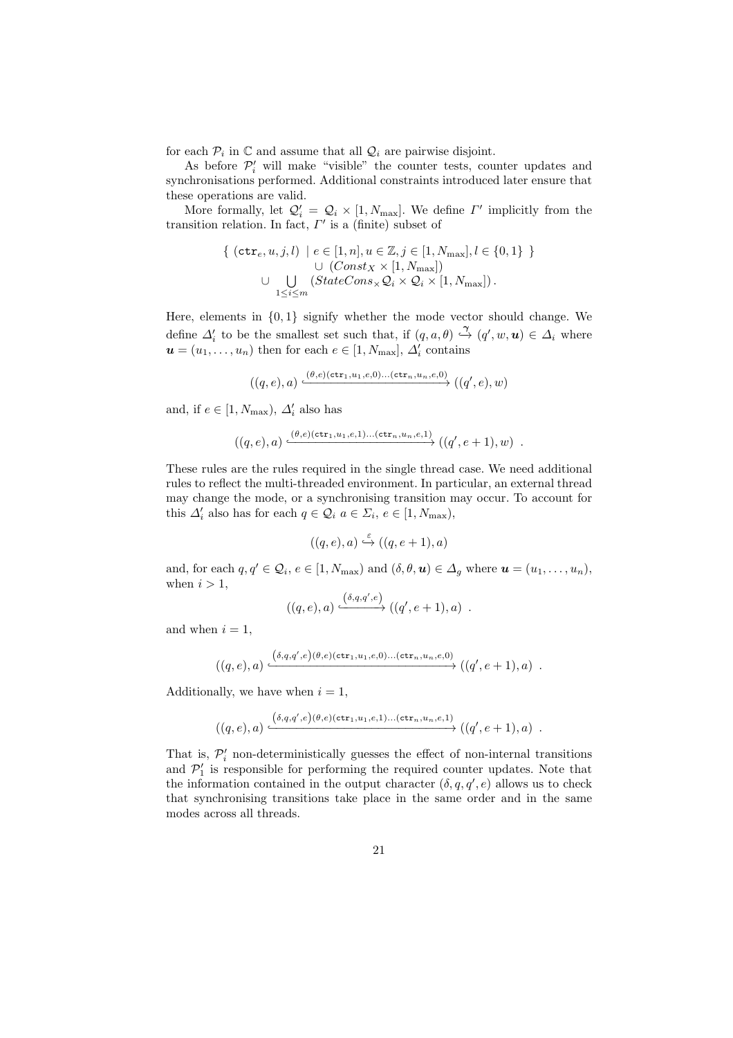for each  $P_i$  in  $\mathbb C$  and assume that all  $\mathcal Q_i$  are pairwise disjoint.

As before  $P'_i$  will make "visible" the counter tests, counter updates and synchronisations performed. Additional constraints introduced later ensure that these operations are valid.

More formally, let  $Q'_i = Q_i \times [1, N_{\text{max}}]$ . We define  $\Gamma'$  implicitly from the transition relation. In fact,  $\Gamma'$  is a (finite) subset of

{ 
$$
(\text{ctr}_e, u, j, l) \mid e \in [1, n], u \in \mathbb{Z}, j \in [1, N_{\text{max}}], l \in \{0, 1\} \}
$$
  
\n
$$
\cup \bigcup_{1 \leq i \leq m} (StateCons_{\times} \mathcal{Q}_i \times \mathcal{Q}_i \times [1, N_{\text{max}}]).
$$

Here, elements in  $\{0,1\}$  signify whether the mode vector should change. We define  $\Delta'_i$  to be the smallest set such that, if  $(q, a, \theta) \stackrel{\gamma}{\hookrightarrow} (q', w, u) \in \Delta_i$  where  $\mathbf{u} = (u_1, \dots, u_n)$  then for each  $e \in [1, N_{\text{max}}], \Delta_i'$  contains

$$
((q,e),a)\xrightarrow{(\theta,e)(\mathtt{ctr}_1,u_1,e,0)\dots(\mathtt{ctr}_n,u_n,e,0)} ((q',e),w)
$$

and, if  $e \in [1, N_{\text{max}}), \Delta'_i$  also has

$$
((q,e),a) \xrightarrow{(0,e)(\text{ctr}_1,u_1,e,1)...(\text{ctr}_n,u_n,e,1)} ((q',e+1),w).
$$

These rules are the rules required in the single thread case. We need additional rules to reflect the multi-threaded environment. In particular, an external thread may change the mode, or a synchronising transition may occur. To account for this  $\Delta'_i$  also has for each  $q \in \mathcal{Q}_i$   $a \in \Sigma_i$ ,  $e \in [1, N_{\text{max}})$ ,

$$
((q,e),a) \stackrel{\varepsilon}{\hookrightarrow} ((q,e+1),a)
$$

and, for each  $q, q' \in \mathcal{Q}_i, e \in [1, N_{\text{max}})$  and  $(\delta, \theta, \mathbf{u}) \in \Delta_g$  where  $\mathbf{u} = (u_1, \dots, u_n)$ , when  $i > 1$ ,

$$
((q,e),a) \xrightarrow{(\delta,q,q',e)} ((q',e+1),a) .
$$

and when  $i = 1$ .

$$
((q,e),a) \xleftarrow{\ (\delta,q,q',e)(\theta,e)(\texttt{ctr}_1,u_1,e,0)...(\texttt{ctr}_n,u_n,e,0)} ((q',e+1),a) \ .
$$

Additionally, we have when  $i = 1$ ,

$$
((q,e),a) \xrightarrow{\ (\delta,q,q',e) (\theta,e) (\texttt{ctr}_1,u_1,e,1) \dots (\texttt{ctr}_n,u_n,e,1)} ((q',e+1),a) \ .
$$

That is,  $\mathcal{P}'_i$  non-deterministically guesses the effect of non-internal transitions and  $P'_1$  is responsible for performing the required counter updates. Note that the information contained in the output character  $(\delta, q, q', e)$  allows us to check that synchronising transitions take place in the same order and in the same modes across all threads.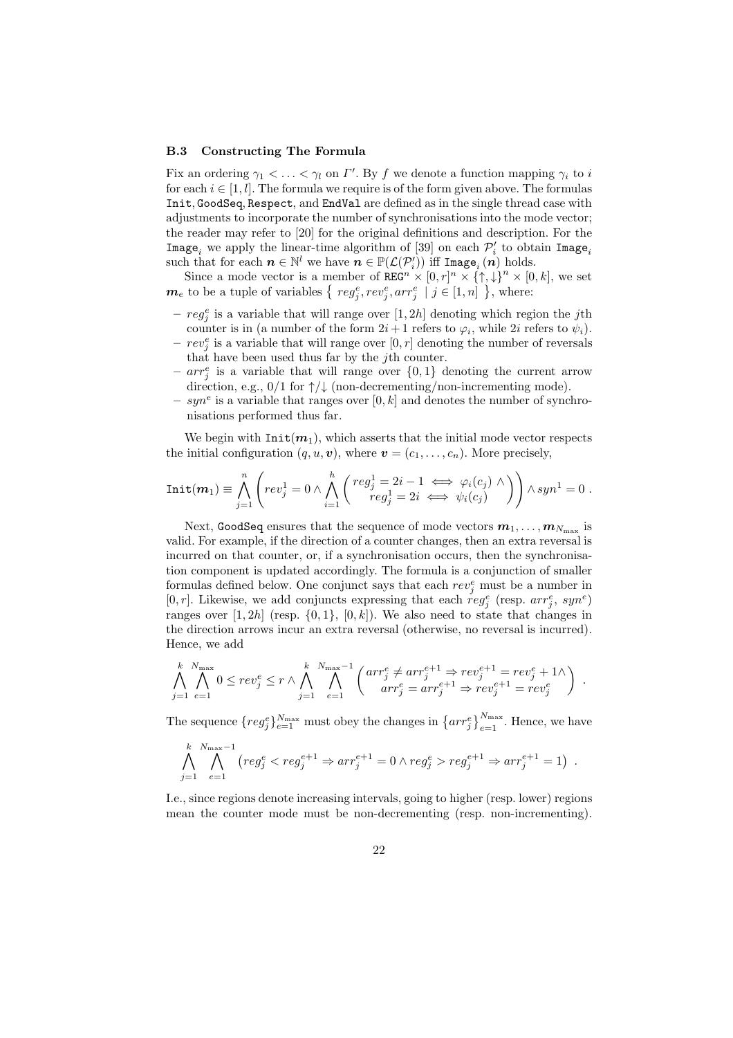#### B.3 Constructing The Formula

Fix an ordering  $\gamma_1 < \ldots < \gamma_l$  on  $\Gamma'$ . By f we denote a function mapping  $\gamma_i$  to i for each  $i \in [1, l]$ . The formula we require is of the form given above. The formulas Init, GoodSeq, Respect, and EndVal are defined as in the single thread case with adjustments to incorporate the number of synchronisations into the mode vector; the reader may refer to [20] for the original definitions and description. For the  $\texttt{Image}_i$  we apply the linear-time algorithm of [39] on each  $\mathcal{P}'_i$  to obtain  $\texttt{Image}_i$ such that for each  $n \in \mathbb{N}^l$  we have  $n \in \mathbb{P}(\mathcal{L}(\mathcal{P}_i^{\prime}))$  iff Image<sub>i</sub>  $(n)$  holds.

Since a mode vector is a member of  $\texttt{REG}^n \times [0, r]^n \times {\uparrow \atop 1}$ ,  $\downarrow \}^n \times [0, k]$ , we set  $\boldsymbol{m}_e$  to be a tuple of variables  $\{ \text{ reg}_j^e, \text{rev}_j^e, \text{arr}_j^e \mid j \in [1, n] \}$ , where:

- $reg_j^e$  is a variable that will range over  $[1, 2h]$  denoting which region the jth counter is in (a number of the form  $2i+1$  refers to  $\varphi_i$ , while  $2i$  refers to  $\psi_i$ ).
- $-rev_j^e$  is a variable that will range over  $[0, r]$  denoting the number of reversals that have been used thus far by the jth counter.
- $arr_i^e$  is a variable that will range over  $\{0,1\}$  denoting the current arrow direction, e.g.,  $0/1$  for  $\uparrow/\downarrow$  (non-decrementing/non-incrementing mode).
- $-$  syn<sup>e</sup> is a variable that ranges over [0, k] and denotes the number of synchronisations performed thus far.

We begin with  $Init(m_1)$ , which asserts that the initial mode vector respects the initial configuration  $(q, u, v)$ , where  $v = (c_1, \ldots, c_n)$ . More precisely,

$$
Init(m_1) \equiv \bigwedge_{j=1}^n \left( rev_j^1 = 0 \wedge \bigwedge_{i=1}^h \left( \begin{matrix} reg_j^1 = 2i - 1 \iff \varphi_i(c_j) \wedge \\ reg_j^1 = 2i \iff \psi_i(c_j) \end{matrix} \right) \right) \wedge syn^1 = 0.
$$

Next, <code>GoodSeq</code> ensures that the sequence of mode vectors  $\boldsymbol{m}_1,\ldots,\boldsymbol{m}_{N_{\rm max}}$  is valid. For example, if the direction of a counter changes, then an extra reversal is incurred on that counter, or, if a synchronisation occurs, then the synchronisation component is updated accordingly. The formula is a conjunction of smaller formulas defined below. One conjunct says that each  $rev_j^e$  must be a number in [0, r]. Likewise, we add conjuncts expressing that each  $reg_j^e$  (resp.  $arr_j^e$ ,  $syn^e$ ) ranges over  $[1, 2h]$  (resp.  $\{0, 1\}$ ,  $[0, k]$ ). We also need to state that changes in the direction arrows incur an extra reversal (otherwise, no reversal is incurred). Hence, we add

$$
\bigwedge_{j=1}^k \bigwedge_{e=1}^{N_{\text{max}}} 0 \leq rev_j^e \leq r \wedge \bigwedge_{j=1}^k \bigwedge_{e=1}^{N_{\text{max}}-1} \left( \begin{array}{c} arr_j^e \neq arr_j^{e+1} \Rightarrow rev_j^{e+1} = rev_j^e + 1 \wedge \\ arr_j^e = arr_j^{e+1} \Rightarrow rev_j^{e+1} = rev_j^e \end{array} \right) .
$$

The sequence  $\{reg_j^e\}_{e=1}^{N_{\max}}$  must obey the changes in  $\{arr_j^e\}_{e=1}^{N_{\max}}$ . Hence, we have

$$
\bigwedge_{j=1}^k \bigwedge_{e=1}^{N_{\text{max}}-1} (reg_j^e < reg_j^{e+1} \Rightarrow arr_j^{e+1} = 0 \land reg_j^e > reg_j^{e+1} \Rightarrow arr_j^{e+1} = 1) .
$$

I.e., since regions denote increasing intervals, going to higher (resp. lower) regions mean the counter mode must be non-decrementing (resp. non-incrementing).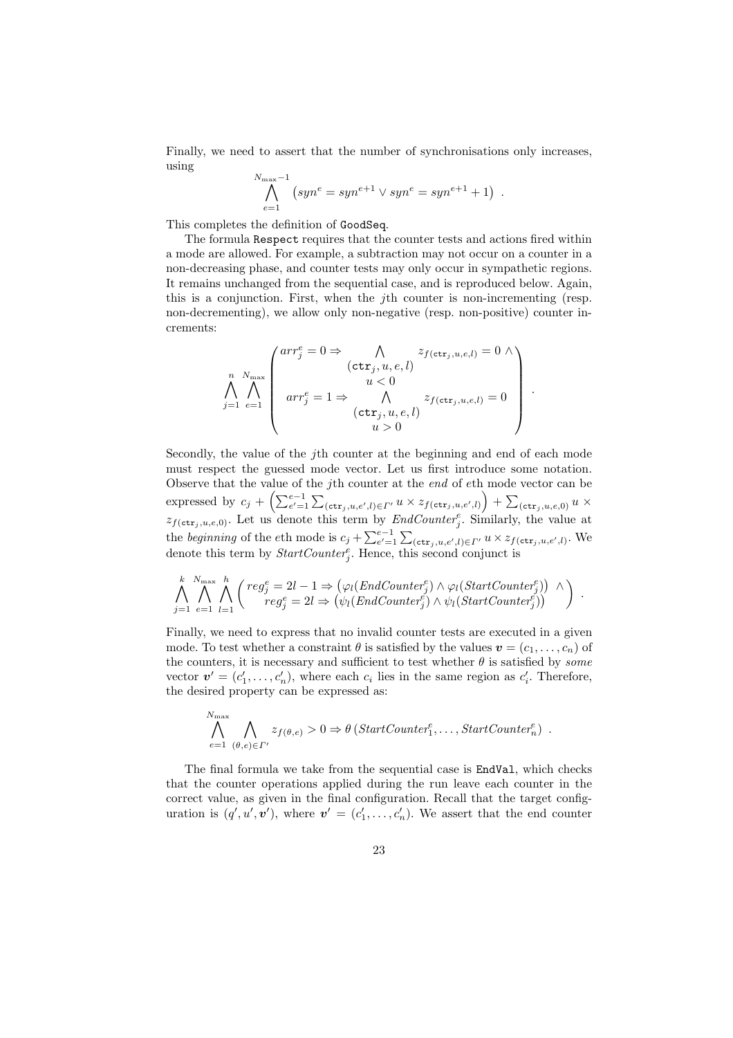Finally, we need to assert that the number of synchronisations only increases, using

$$
\bigwedge_{e=1}^{N_{\max}-1} (syn^e = syn^{e+1} \vee syn^e = syn^{e+1} + 1) .
$$

This completes the definition of GoodSeq.

 $\overline{N}$ 

The formula Respect requires that the counter tests and actions fired within a mode are allowed. For example, a subtraction may not occur on a counter in a non-decreasing phase, and counter tests may only occur in sympathetic regions. It remains unchanged from the sequential case, and is reproduced below. Again, this is a conjunction. First, when the jth counter is non-incrementing (resp. non-decrementing), we allow only non-negative (resp. non-positive) counter increments:

$$
\bigwedge_{j=1}^{n} \bigwedge_{e=1}^{N_{\max}} \begin{pmatrix} arr_j^e = 0 \Rightarrow & \bigwedge_{u & z_{f(\text{ctr}_j, u, e, l)} = 0 \land \\ & (ctr_j, u, e, l) \\ & u < 0 \\ arr_j^e = 1 \Rightarrow & \bigwedge_{u > 0} z_{f(\text{ctr}_j, u, e, l)} = 0 \end{pmatrix}.
$$

Secondly, the value of the *j*th counter at the beginning and end of each mode must respect the guessed mode vector. Let us first introduce some notation. Observe that the value of the jth counter at the end of eth mode vector can be expressed by  $c_j + \left( \sum_{e'=1}^{e-1} \sum_{(\text{ctr}_j, u, e', l) \in \Gamma'} u \times z_{f(\text{ctr}_j, u, e', l)} \right) + \sum_{(\text{ctr}_j, u, e, 0)} u \times$  $z_{f(\text{ctr}_j, u, e, 0)}$ . Let us denote this term by *EndCounter*<sup>e</sup><sub>j</sub>. Similarly, the value at the beginning of the eth mode is  $c_j + \sum_{e'=1}^{e-1} \sum_{(\text{ctr}_j, u, e', l) \in I'} u \times z_{f(\text{ctr}_j, u, e', l)}$ . We denote this term by  $StartCounter_j^e$ . Hence, this second conjunct is

$$
\bigwedge_{j=1}^k \bigwedge_{e=1}^{N_{\text{max}}} \bigwedge_{l=1}^h \left( \begin{matrix} reg_j^e = 2l - 1 \Rightarrow (\varphi_l(EndCounter_j^e) \wedge \varphi_l(StartCounter_j^e)) \\ reg_j^e = 2l \Rightarrow (\psi_l(EndCounter_j^e) \wedge \psi_l(StartCounter_j^e)) \end{matrix} \right) .
$$

Finally, we need to express that no invalid counter tests are executed in a given mode. To test whether a constraint  $\theta$  is satisfied by the values  $\mathbf{v} = (c_1, \ldots, c_n)$  of the counters, it is necessary and sufficient to test whether  $\theta$  is satisfied by *some* vector  $\mathbf{v}' = (c'_1, \ldots, c'_n)$ , where each  $c_i$  lies in the same region as  $c'_i$ . Therefore, the desired property can be expressed as:

$$
\bigwedge_{e=1}^{N_{\text{max}}} \bigwedge_{(\theta,e)\in\Gamma'} z_{f(\theta,e)} > 0 \Rightarrow \theta \left( StartCounter_1^e, \dots, StartCounter_n^e \right) .
$$

The final formula we take from the sequential case is **EndVal**, which checks that the counter operations applied during the run leave each counter in the correct value, as given in the final configuration. Recall that the target configuration is  $(q', u', v')$ , where  $v' = (c'_1, \ldots, c'_n)$ . We assert that the end counter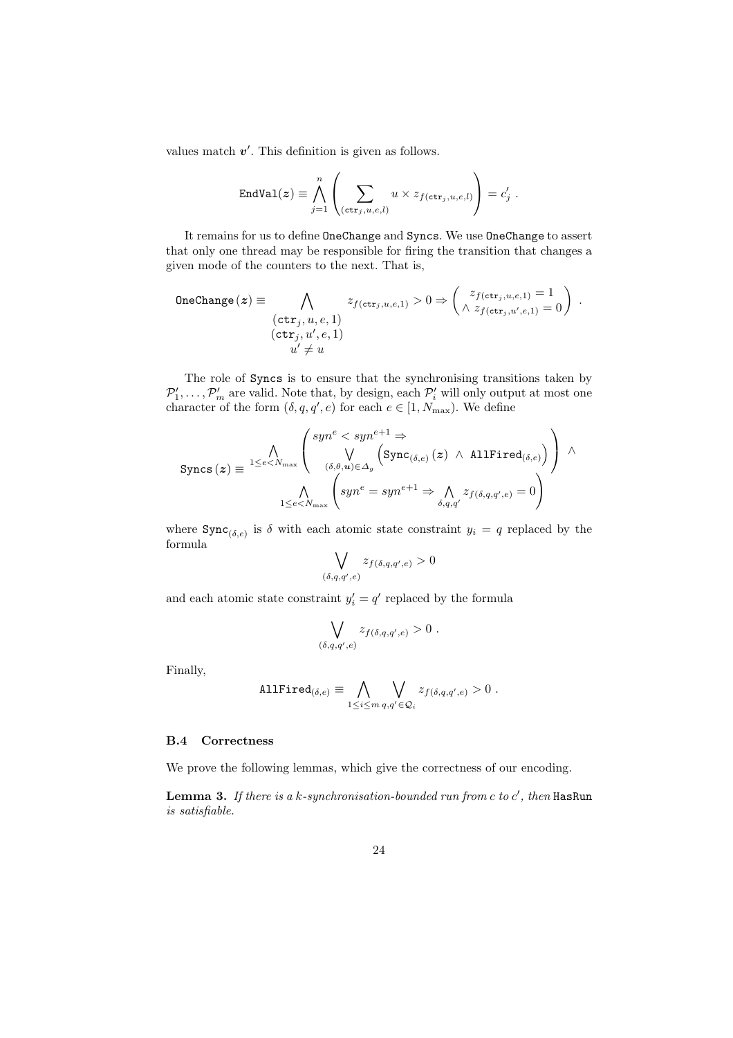values match  $v'$ . This definition is given as follows.

$$
\text{EndVal}(z) \equiv \bigwedge_{j=1}^{n} \left( \sum_{(\text{ctr}_j, u, e, l)} u \times z_{f(\text{ctr}_j, u, e, l)} \right) = c'_j.
$$

It remains for us to define OneChange and Syncs. We use OneChange to assert that only one thread may be responsible for firing the transition that changes a given mode of the counters to the next. That is,

OneChange 
$$
(z) \equiv \bigwedge_{\substack{(ctr_j, u, e, 1) \\ (ctr_j, u', e, 1)}} z_{f(ctr_j, u, e, 1)} > 0 \Rightarrow \left( \bigwedge_{\substack{z_{f(ctr_j, u', e, 1)} \\ z_{f(ctr_j, u', e, 1)}} = 0 \right).
$$

\nOneChange  $(z) \equiv \bigwedge_{\substack{(ctr_j, u', e, 1) \\ u' \neq u}} z_{f(ctr_j, u, e, 1)} > 0 \Rightarrow \left( \bigwedge_{\substack{z_{f(ctr_j, u', e, 1)}} z_{f(ctr_j, u', e, 1}} z_{f(ctr_j, u', e, 1)} \right).$ 

The role of Syncs is to ensure that the synchronising transitions taken by  $\mathcal{P}'_1, \ldots, \mathcal{P}'_m$  are valid. Note that, by design, each  $\mathcal{P}'_i$  will only output at most one character of the form  $(\delta, q, q', e)$  for each  $e \in [1, N_{\text{max}})$ . We define

$$
\text{ Syncs}\left(\boldsymbol{z}\right) \equiv \frac{\bigwedge\limits_{1 \leq e < N_{\text{max}}} \left( \begin{array}{c} \text{syn}^e < \text{syn}^{e+1} \Rightarrow \\ \bigvee\limits_{(\boldsymbol{\delta}, \boldsymbol{\theta}, \boldsymbol{u}) \in \Delta_g} \left( \text{Sync}_{(\boldsymbol{\delta}, e)}\left(\boldsymbol{z}\right) \ \wedge \ \text{AllFind}_{(\boldsymbol{\delta}, e)} \right) \right) \ \wedge \\ \bigwedge\limits_{1 \leq e < N_{\text{max}}} \left( \text{syn}^e = \text{syn}^{e+1} \Rightarrow \bigwedge\limits_{\boldsymbol{\delta}, q, q'} z_{f(\boldsymbol{\delta}, q, q', e)} = 0 \right) \end{array}
$$

where  $\text{Symc}_{(\delta,e)}$  is  $\delta$  with each atomic state constraint  $y_i = q$  replaced by the formula

$$
\bigvee_{(\delta,q,q',e)} z_{f(\delta,q,q',e)} > 0
$$

and each atomic state constraint  $y_i' = q'$  replaced by the formula

$$
\bigvee_{(\delta,q,q',e)} z_{f(\delta,q,q',e)} > 0.
$$

Finally,

AllFind
$$
\phi_{(\delta,e)} \equiv \bigwedge_{1 \leq i \leq m} \bigvee_{q,q' \in \mathcal{Q}_i} z_{f(\delta,q,q',e)} > 0
$$
.

#### B.4 Correctness

We prove the following lemmas, which give the correctness of our encoding.

**Lemma 3.** If there is a k-synchronisation-bounded run from  $c$  to  $c'$ , then HasRun is satisfiable.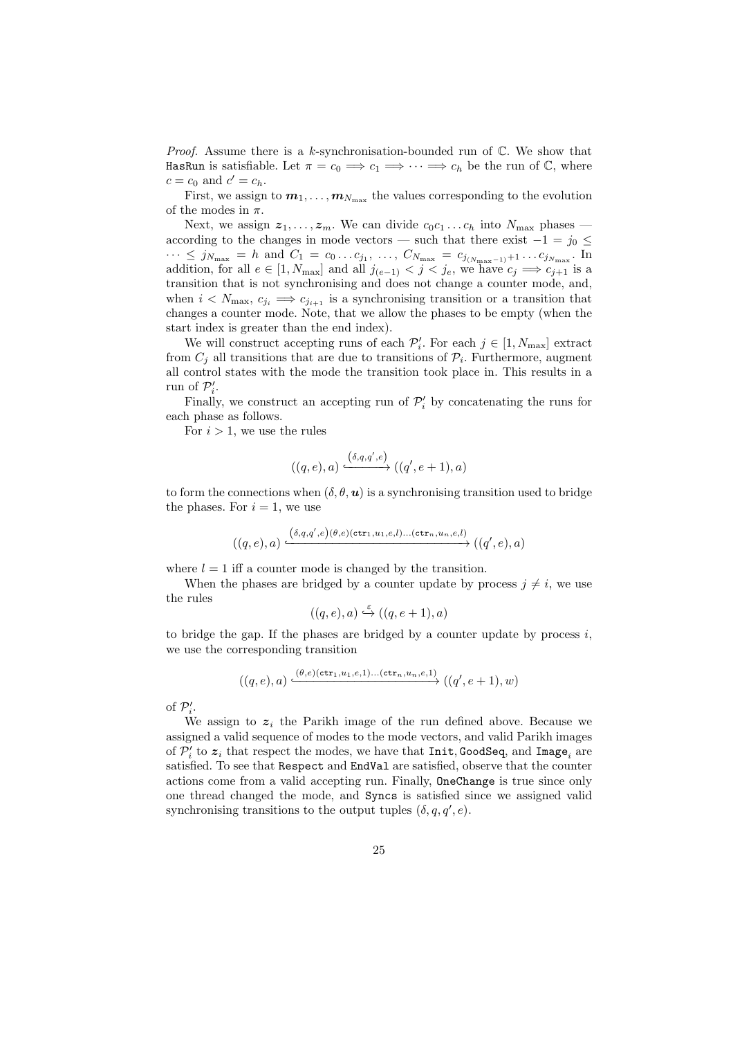*Proof.* Assume there is a k-synchronisation-bounded run of  $\mathbb{C}$ . We show that HasRun is satisfiable. Let  $\pi = c_0 \Longrightarrow c_1 \Longrightarrow \cdots \Longrightarrow c_h$  be the run of C, where  $c = c_0$  and  $c' = c_h$ .

First, we assign to  $m_1, \ldots, m_{N_{\text{max}}}$  the values corresponding to the evolution of the modes in  $\pi$ .

Next, we assign  $z_1, \ldots, z_m$ . We can divide  $c_0c_1 \ldots c_h$  into  $N_{\text{max}}$  phases according to the changes in mode vectors — such that there exist  $-1 = j_0 \leq$  $\cdots$  ≤ j<sub>N<sub>max</sub></sub> = h and  $C_1 = c_0 \ldots c_{j_1}, \ldots, C_{N_{\text{max}}} = c_{j_{(N_{\text{max}}-1)}+1} \ldots c_{j_{N_{\text{max}}}}$ . In addition, for all  $e \in [1, N_{\text{max}}]$  and all  $j_{(e-1)} < j < j_e$ , we have  $c_j \implies c_{j+1}$  is a transition that is not synchronising and does not change a counter mode, and, when  $i < N_{\text{max}}$ ,  $c_{j_i} \implies c_{j_{i+1}}$  is a synchronising transition or a transition that changes a counter mode. Note, that we allow the phases to be empty (when the start index is greater than the end index).

We will construct accepting runs of each  $\mathcal{P}'_i$ . For each  $j \in [1, N_{\text{max}}]$  extract from  $C_j$  all transitions that are due to transitions of  $\mathcal{P}_i$ . Furthermore, augment all control states with the mode the transition took place in. This results in a run of  $\mathcal{P}'_i$ .

Finally, we construct an accepting run of  $\mathcal{P}'_i$  by concatenating the runs for each phase as follows.

For  $i > 1$ , we use the rules

$$
((q,e),a)\xrightarrow{(\delta,q,q',e)}((q',e+1),a)
$$

to form the connections when  $(\delta, \theta, \mathbf{u})$  is a synchronising transition used to bridge the phases. For  $i = 1$ , we use

$$
((q,e),a)\xrightarrow{\ \big(\delta,q,q',e\big)(\theta,e)(\mathtt{ctr}_1,u_1,e,l)\dots(\mathtt{ctr}_n,u_n,e,l)} ((q',e),a)
$$

where  $l = 1$  iff a counter mode is changed by the transition.

When the phases are bridged by a counter update by process  $j \neq i$ , we use the rules ε

$$
((q,e),a) \stackrel{c}{\hookrightarrow} ((q,e+1),a)
$$

to bridge the gap. If the phases are bridged by a counter update by process  $i$ , we use the corresponding transition

$$
((q,e),a) \xrightarrow{(0,e)(\texttt{ctr}_1,u_1,e,1)\dots(\texttt{ctr}_n,u_n,e,1)} ((q',e+1),w)
$$

of  $\mathcal{P}'_i$ .

We assign to  $z_i$  the Parikh image of the run defined above. Because we assigned a valid sequence of modes to the mode vectors, and valid Parikh images of  $\mathcal{P}'_i$  to  $\boldsymbol{z}_i$  that respect the modes, we have that  $\texttt{Init}, \texttt{GoodSeq},$  and  $\texttt{Image}_i$  are satisfied. To see that Respect and EndVal are satisfied, observe that the counter actions come from a valid accepting run. Finally, OneChange is true since only one thread changed the mode, and Syncs is satisfied since we assigned valid synchronising transitions to the output tuples  $(\delta, q, q', e)$ .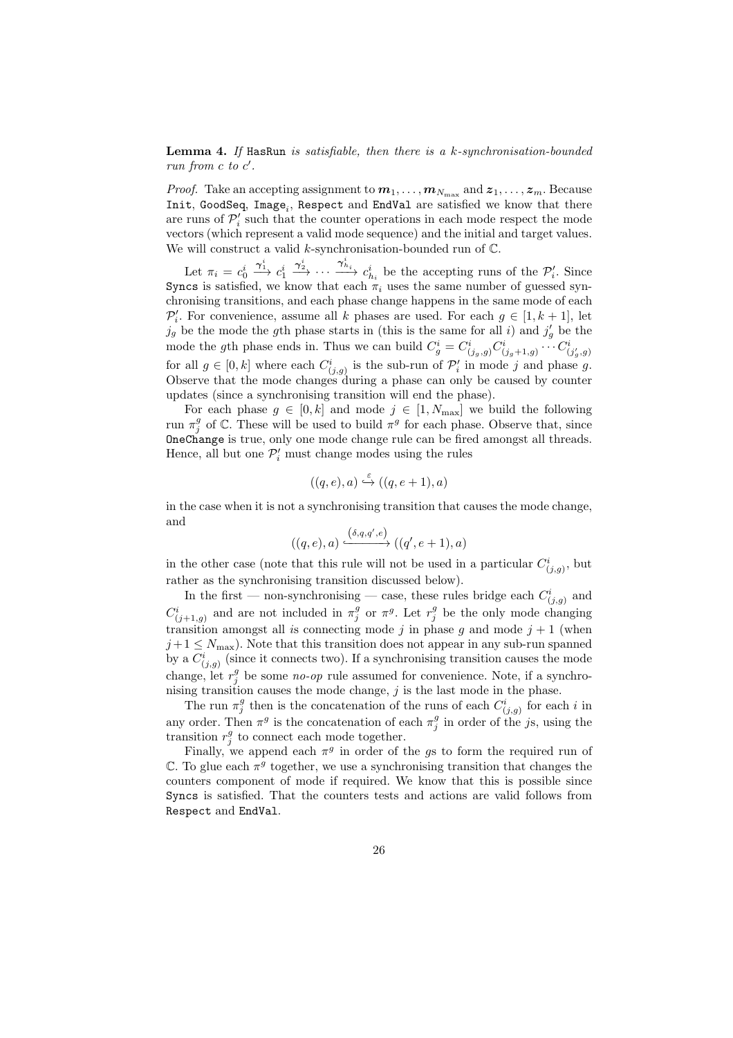**Lemma 4.** If HasRun is satisfiable, then there is a  $k$ -synchronisation-bounded run from  $c$  to  $c'$ .

*Proof.* Take an accepting assignment to  $m_1, \ldots, m_{N_{\text{max}}}$  and  $z_1, \ldots, z_m$ . Because  $Init$ , GoodSeq,  $Image_i$ , Respect and EndVal are satisfied we know that there are runs of  $\mathcal{P}'_i$  such that the counter operations in each mode respect the mode vectors (which represent a valid mode sequence) and the initial and target values. We will construct a valid k-synchronisation-bounded run of  $\mathbb{C}$ .

Let  $\pi_i = c_0^i$  $\stackrel{\boldsymbol{\gamma}_1^i}{\longrightarrow} c_1^i$  $\frac{\gamma_2^i}{\longrightarrow} \cdots \frac{\gamma_{h_i}^i}{\gamma_{h_i}}$  be the accepting runs of the  $\mathcal{P}'_i$ . Since Syncs is satisfied, we know that each  $\pi_i$  uses the same number of guessed synchronising transitions, and each phase change happens in the same mode of each  $\mathcal{P}'_i$ . For convenience, assume all k phases are used. For each  $g \in [1, k + 1]$ , let  $j_g$  be the mode the gth phase starts in (this is the same for all i) and  $j'_g$  be the mode the gth phase ends in. Thus we can build  $C_g^i = C^i_{(j_g,g)} C^i_{(j_g+1,g)} \cdots C^i_{(j'_g,g)}$ for all  $g \in [0, k]$  where each  $C^i_{(j,g)}$  is the sub-run of  $\mathcal{P}'_i$  in mode j and phase g. Observe that the mode changes during a phase can only be caused by counter updates (since a synchronising transition will end the phase).

For each phase  $g \in [0, k]$  and mode  $j \in [1, N_{\text{max}}]$  we build the following run  $\pi_j^g$  of C. These will be used to build  $\pi^g$  for each phase. Observe that, since OneChange is true, only one mode change rule can be fired amongst all threads. Hence, all but one  $\mathcal{P}'_i$  must change modes using the rules

$$
((q,e),a) \stackrel{\varepsilon}{\hookrightarrow} ((q,e+1),a)
$$

in the case when it is not a synchronising transition that causes the mode change, and

$$
((q,e),a)\xrightarrow{\left(\delta,q,q',e\right)}((q',e+1),a)
$$

in the other case (note that this rule will not be used in a particular  $C^i_{(j,g)}$ , but rather as the synchronising transition discussed below).

In the first — non-synchronising — case, these rules bridge each  $C^i_{(j,g)}$  and  $C^i_{(j+1,g)}$  and are not included in  $\pi_j^g$  or  $\pi^g$ . Let  $r_j^g$  be the only mode changing transition amongst all is connecting mode j in phase q and mode  $j + 1$  (when  $j+1 \leq N_{\text{max}}$ ). Note that this transition does not appear in any sub-run spanned by a  $C^i_{(j,g)}$  (since it connects two). If a synchronising transition causes the mode change, let  $r_j^g$  be some no-op rule assumed for convenience. Note, if a synchronising transition causes the mode change,  $j$  is the last mode in the phase.

The run  $\pi_j^g$  then is the concatenation of the runs of each  $C^i_{(j,g)}$  for each i in any order. Then  $\pi^g$  is the concatenation of each  $\pi^g_j$  in order of the js, using the transition  $r_j^g$  to connect each mode together.

Finally, we append each  $\pi^g$  in order of the gs to form the required run of  $\mathbb C$ . To glue each  $\pi^g$  together, we use a synchronising transition that changes the counters component of mode if required. We know that this is possible since Syncs is satisfied. That the counters tests and actions are valid follows from Respect and EndVal.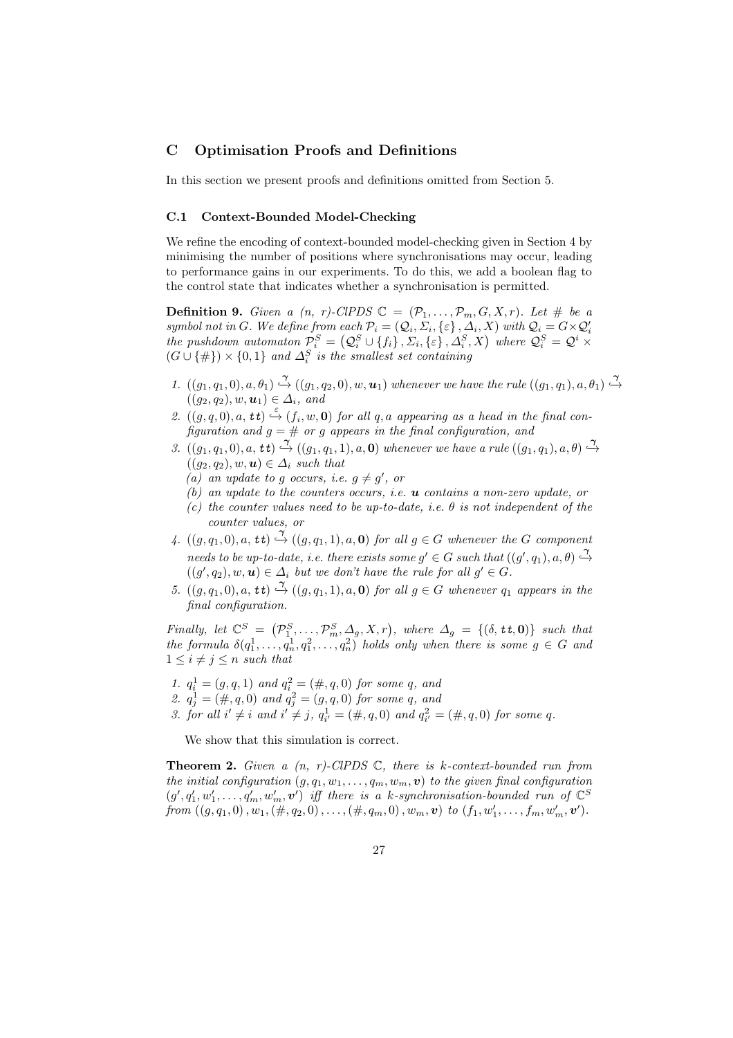# C Optimisation Proofs and Definitions

In this section we present proofs and definitions omitted from Section 5.

#### C.1 Context-Bounded Model-Checking

We refine the encoding of context-bounded model-checking given in Section 4 by minimising the number of positions where synchronisations may occur, leading to performance gains in our experiments. To do this, we add a boolean flag to the control state that indicates whether a synchronisation is permitted.

**Definition 9.** Given a  $(n, r)$ -ClPDS  $\mathbb{C} = (\mathcal{P}_1, \ldots, \mathcal{P}_m, G, X, r)$ . Let # be a symbol not in G. We define from each  $\mathcal{P}_i = (\mathcal{Q}_i, \Sigma_i, \{\varepsilon\}, \Delta_i, X)$  with  $\mathcal{Q}_i = G \times \mathcal{Q}'_i$ the pushdown automaton  $\mathcal{P}_i^S = (Q_i^S \cup \{f_i\}, \Sigma_i, \{\varepsilon\}, \Delta_i^S, X)$  where  $Q_i^S = Q^i \times$  $(G \cup \{\# \}) \times \{0,1\}$  and  $\Delta_i^S$  is the smallest set containing

- 1.  $((g_1, q_1, 0), a, \theta_1) \stackrel{\gamma}{\hookrightarrow} ((g_1, q_2, 0), w, \mathbf{u}_1)$  whenever we have the rule  $((g_1, q_1), a, \theta_1) \stackrel{\gamma}{\hookrightarrow}$  $((g_2, q_2), w, \mathbf{u}_1) \in \Delta_i$ , and
- 2.  $((g, q, 0), a, t\tau) \stackrel{\varepsilon}{\hookrightarrow} (f_i, w, 0)$  for all q, a appearing as a head in the final configuration and  $g = #$  or g appears in the final configuration, and
- 3.  $((g_1, q_1, 0), a, \mathbf{t}, t) \stackrel{\gamma}{\hookrightarrow} ((g_1, q_1, 1), a, \mathbf{0})$  whenever we have a rule  $((g_1, q_1), a, \theta) \stackrel{\gamma}{\hookrightarrow}$  $((q_2, q_2), w, u) \in \Delta_i$  such that
	- (a) an update to g occurs, i.e.  $g \neq g'$ , or
	- (b) an update to the counters occurs, i.e.  $\boldsymbol{u}$  contains a non-zero update, or
	- (c) the counter values need to be up-to-date, i.e.  $\theta$  is not independent of the counter values, or
- 4.  $((g, q_1, 0), a, \mathbf{t}t) \stackrel{\gamma}{\rightarrow} ((g, q_1, 1), a, \mathbf{0})$  for all  $g \in G$  whenever the G component needs to be up-to-date, i.e. there exists some  $g' \in G$  such that  $((g', q_1), a, \theta) \stackrel{\gamma}{\hookrightarrow}$  $((g', q_2), w, u) \in \Delta_i$  but we don't have the rule for all  $g' \in G$ .
- 5.  $((g, q_1, 0), a, \mathbf{t} \mathbf{t}) \stackrel{\gamma}{\hookrightarrow} ((g, q_1, 1), a, \mathbf{0})$  for all  $g \in G$  whenever  $q_1$  appears in the final configuration.

Finally, let  $\mathbb{C}^S = (\mathcal{P}_1^S, \ldots, \mathcal{P}_m^S, \Delta_g, X, r)$ , where  $\Delta_g = \{(\delta, \mathbf{t}, \mathbf{0})\}$  such that the formula  $\delta(q_1^1, \ldots, q_n^1, q_1^2, \ldots, q_n^2)$  holds only when there is some  $g \in G$  and  $1 \leq i \neq j \leq n$  such that

- 1.  $q_i^1 = (g, q, 1)$  and  $q_i^2 = (\#, q, 0)$  for some q, and
- 2.  $q_j^1 = (\#, q, 0)$  and  $q_j^2 = (g, q, 0)$  for some q, and
- 3. for all  $i' \neq i$  and  $i' \neq j$ ,  $q_{i'}^1 = (\#, q, 0)$  and  $q_{i'}^2 = (\#, q, 0)$  for some q.

We show that this simulation is correct.

**Theorem 2.** Given a  $(n, r)$ -ClPDS  $\mathbb{C}$ , there is k-context-bounded run from the initial configuration  $(g, q_1, w_1, \ldots, q_m, w_m, v)$  to the given final configuration  $(g', q'_1, w'_1, \ldots, q'_m, w'_m, v')$  iff there is a k-synchronisation-bounded run of  $\mathbb{C}^S$ from  $((g, q_1, 0), w_1, (\#, q_2, 0), \ldots, (\#, q_m, 0), w_m, \mathbf{v})$  to  $(f_1, w'_1, \ldots, f_m, w'_m, \mathbf{v}')$ .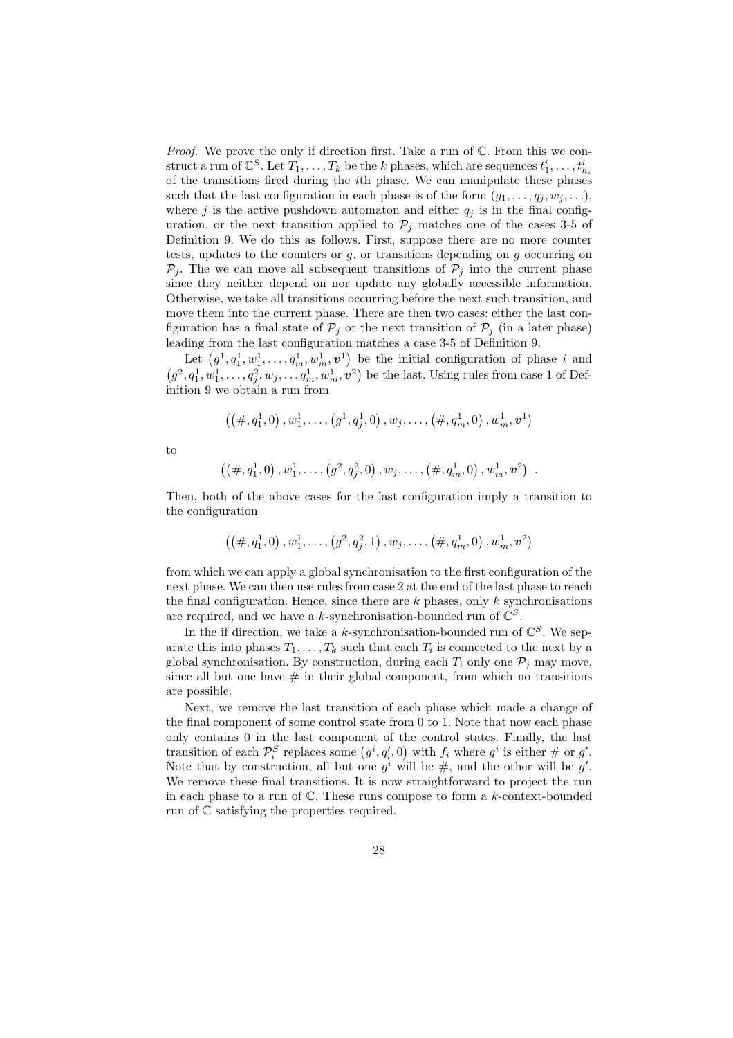*Proof.* We prove the only if direction first. Take a run of  $\mathbb{C}$ . From this we construct a run of  $\mathbb{C}^S$ . Let  $T_1, \ldots, T_k$  be the k phases, which are sequences  $t_1^i, \ldots, t_{h_i}^i$ of the transitions fired during the ith phase. We can manipulate these phases such that the last configuration in each phase is of the form  $(g_1, \ldots, g_i, w_j, \ldots)$ , where j is the active pushdown automaton and either  $q_i$  is in the final configuration, or the next transition applied to  $\mathcal{P}_j$  matches one of the cases 3-5 of Definition 9. We do this as follows. First, suppose there are no more counter tests, updates to the counters or  $g$ , or transitions depending on  $g$  occurring on  $\mathcal{P}_i$ . The we can move all subsequent transitions of  $\mathcal{P}_i$  into the current phase since they neither depend on nor update any globally accessible information. Otherwise, we take all transitions occurring before the next such transition, and move them into the current phase. There are then two cases: either the last configuration has a final state of  $\mathcal{P}_i$  or the next transition of  $\mathcal{P}_i$  (in a later phase) leading from the last configuration matches a case 3-5 of Definition 9.

Let  $(g_1^1, q_1^1, w_1^1, \ldots, q_m^1, w_m^1, v_1^1)$  be the initial configuration of phase i and  $(g^2, q_1^1, w_1^1, \ldots, q_j^2, w_j, \ldots, q_m^1, w_m^1, v^2)$  be the last. Using rules from case 1 of Definition 9 we obtain a run from

$$
((\#, q_1^1, 0), w_1^1, \ldots, (g^1, q_j^1, 0), w_j, \ldots, (\#, q_m^1, 0), w_m^1, \mathbf{v}^1)
$$

to

$$
((\#, q_1^1, 0), w_1^1, \ldots, (g^2, q_j^2, 0), w_j, \ldots, (\#, q_m^1, 0), w_m^1, v^2)
$$
.

Then, both of the above cases for the last configuration imply a transition to the configuration

$$
\left(\left(\#,q^1_1,0\right),w^1_1,\ldots,\left(g^2,q^2_j,1\right),w_j,\ldots,\left(\#,q^1_m,0\right),w^1_m,\bm{v}^2\right)
$$

from which we can apply a global synchronisation to the first configuration of the next phase. We can then use rules from case 2 at the end of the last phase to reach the final configuration. Hence, since there are  $k$  phases, only k synchronisations are required, and we have a k-synchronisation-bounded run of  $\mathbb{C}^S$ .

In the if direction, we take a k-synchronisation-bounded run of  $\mathbb{C}^S$ . We separate this into phases  $T_1, \ldots, T_k$  such that each  $T_i$  is connected to the next by a global synchronisation. By construction, during each  $T_i$  only one  $P_j$  may move, since all but one have  $\#$  in their global component, from which no transitions are possible.

Next, we remove the last transition of each phase which made a change of the final component of some control state from 0 to 1. Note that now each phase only contains 0 in the last component of the control states. Finally, the last transition of each  $\mathcal{P}_i^S$  replaces some  $(g^i, q'_i, 0)$  with  $f_i$  where  $g^i$  is either # or  $g'$ . Note that by construction, all but one  $g^i$  will be  $\#$ , and the other will be  $g'$ . We remove these final transitions. It is now straightforward to project the run in each phase to a run of  $\mathbb{C}$ . These runs compose to form a k-context-bounded run of C satisfying the properties required.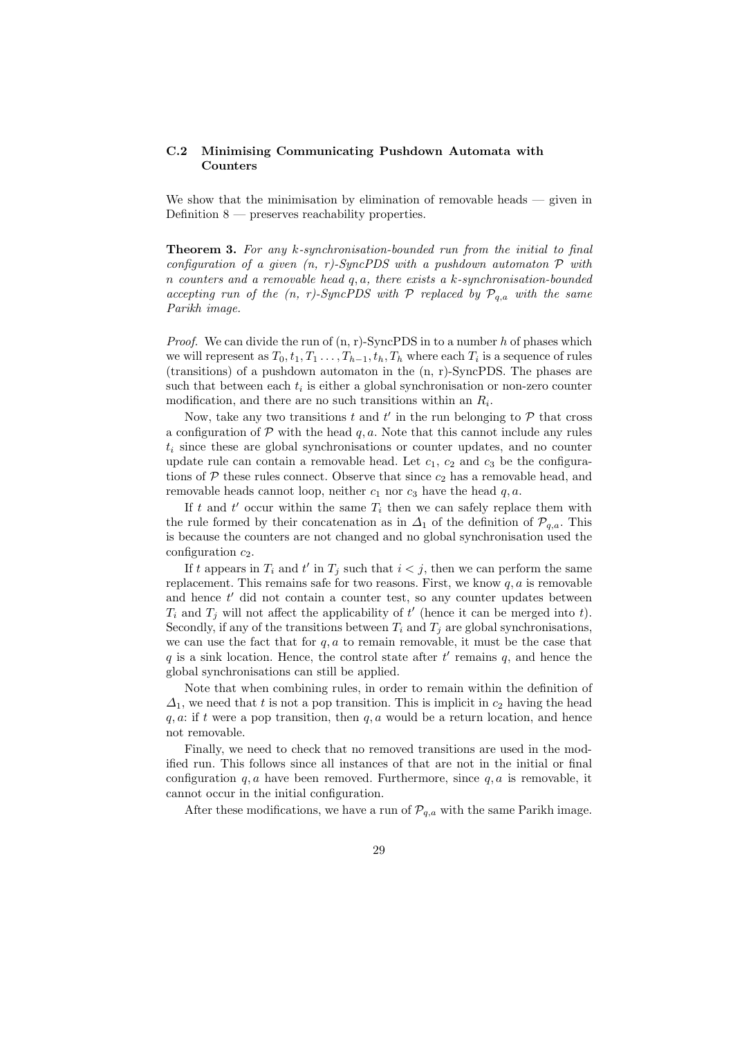## C.2 Minimising Communicating Pushdown Automata with Counters

We show that the minimisation by elimination of removable heads — given in Definition 8 — preserves reachability properties.

Theorem 3. For any k-synchronisation-bounded run from the initial to final configuration of a given  $(n, r)$ -SyncPDS with a pushdown automaton  $P$  with n counters and a removable head q, a, there exists a k-synchronisation-bounded accepting run of the  $(n, r)$ -SyncPDS with P replaced by  $P_{q,a}$  with the same Parikh image.

*Proof.* We can divide the run of  $(n, r)$ -SyncPDS in to a number h of phases which we will represent as  $T_0, t_1, T_1, \ldots, T_{h-1}, t_h, T_h$  where each  $T_i$  is a sequence of rules (transitions) of a pushdown automaton in the (n, r)-SyncPDS. The phases are such that between each  $t_i$  is either a global synchronisation or non-zero counter modification, and there are no such transitions within an  $R_i$ .

Now, take any two transitions  $t$  and  $t'$  in the run belonging to  $P$  that cross a configuration of  $\mathcal P$  with the head  $q, a$ . Note that this cannot include any rules  $t_i$  since these are global synchronisations or counter updates, and no counter update rule can contain a removable head. Let  $c_1$ ,  $c_2$  and  $c_3$  be the configurations of  $P$  these rules connect. Observe that since  $c_2$  has a removable head, and removable heads cannot loop, neither  $c_1$  nor  $c_3$  have the head  $q, a$ .

If t and  $t'$  occur within the same  $T_i$  then we can safely replace them with the rule formed by their concatenation as in  $\Delta_1$  of the definition of  $\mathcal{P}_{q,a}$ . This is because the counters are not changed and no global synchronisation used the configuration  $c_2$ .

If t appears in  $T_i$  and t' in  $T_j$  such that  $i < j$ , then we can perform the same replacement. This remains safe for two reasons. First, we know  $q, a$  is removable and hence  $t'$  did not contain a counter test, so any counter updates between  $T_i$  and  $T_j$  will not affect the applicability of  $t'$  (hence it can be merged into t). Secondly, if any of the transitions between  $T_i$  and  $T_j$  are global synchronisations, we can use the fact that for  $q, a$  to remain removable, it must be the case that q is a sink location. Hence, the control state after  $t'$  remains  $q$ , and hence the global synchronisations can still be applied.

Note that when combining rules, in order to remain within the definition of  $\Delta_1$ , we need that t is not a pop transition. This is implicit in  $c_2$  having the head  $q, a:$  if t were a pop transition, then  $q, a$  would be a return location, and hence not removable.

Finally, we need to check that no removed transitions are used in the modified run. This follows since all instances of that are not in the initial or final configuration  $q, a$  have been removed. Furthermore, since  $q, a$  is removable, it cannot occur in the initial configuration.

After these modifications, we have a run of  $\mathcal{P}_{q,a}$  with the same Parikh image.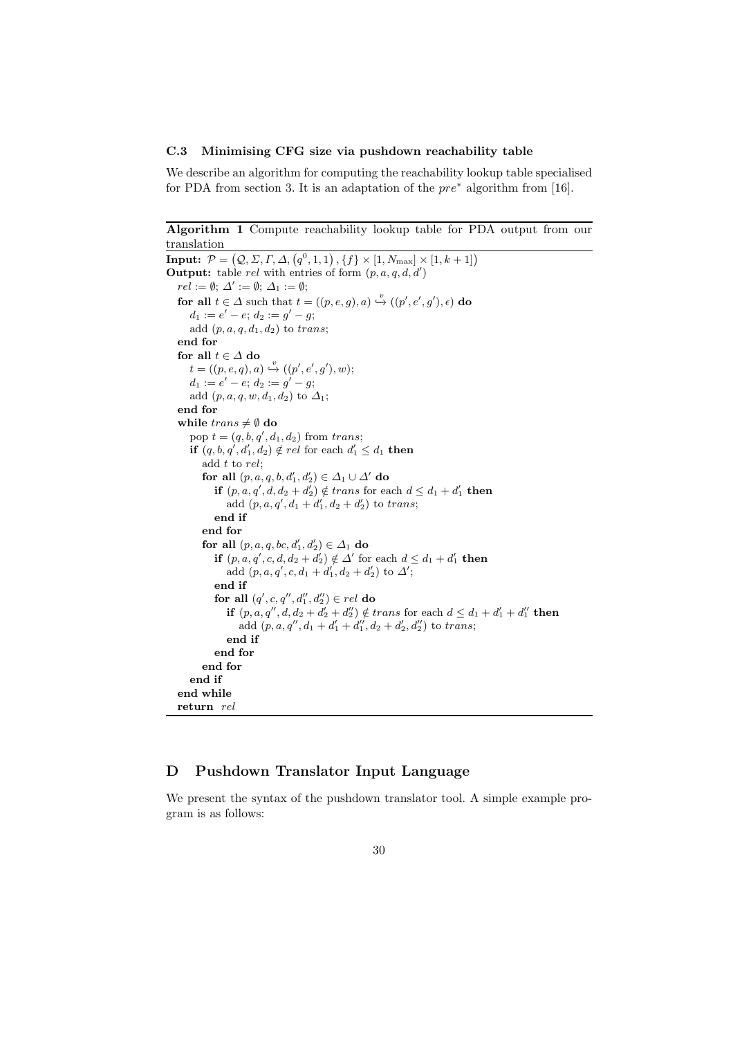#### C.3 Minimising CFG size via pushdown reachability table

We describe an algorithm for computing the reachability lookup table specialised for PDA from section 3. It is an adaptation of the  $pre^*$  algorithm from [16].

```
Algorithm 1 Compute reachability lookup table for PDA output from our
translation
```

```
Input: \mathcal{P} = (\mathcal{Q}, \Sigma, \Gamma, \Delta, (q^0, 1, 1), \{f\} \times [1, N_{\text{max}}] \times [1, k + 1])Output: table rel with entries of form (p, a, q, d, d')re\overline{l} := \emptyset; \ \Delta' := \emptyset; \ \Delta_1 := \emptyset;for all t \in \Delta such that t = ((p, e, g), a) \stackrel{v}{\hookrightarrow} ((p', e', g'), \epsilon) do
      d_1 := e' - e; d_2 := g' - g;
      add (p, a, q, d_1, d_2) to trans;
  end for
  for all t \in \varDelta do
      t = ((p, e, q), a) \stackrel{v}{\hookrightarrow} ((p', e', g'), w);d_1 := e' - e; d_2 := g' - g;add (p, a, q, w, d_1, d_2) to \Delta_1;
  end for
  while trans \neq \emptyset do
      pop t = (q, b, q', d_1, d_2) from trans;
      if (q, b, q', d'_1, d_2) \notin rel for each d'_1 \leq d_1 then
         add t to rel;
          for all (p, a, q, b, d_1', d_2') \in \varDelta_1 \cup \varDelta' do
             if (p, a, q', d, d_2 + d_2') \notin trans for each d \leq d_1 + d_1' then
                 add (p, a, q', d_1 + d_1', d_2 + d_2') to trans;
             end if
         end for
          for all (p, a, q, bc, d'_1, d'_2) \in \Delta_1 do
             if (p, a, q', c, d, d_2 + d'_2) \notin \Delta' for each d \leq d_1 + d'_1 then
                 add (p, a, q', c, d_1 + d'_1, d_2 + d'_2) to \Delta';
             end if
             for all (q', c, q'', d_1'', d_2'') \in rel do
                 if (p, a, q'', d, d_2 + d'_2 + d''_2) \notin trans for each d \leq d_1 + d'_1 + d''_1 then
                     add (p, a, q'', d_1 + d_1' + d_1'', d_2 + d_2', d_2'') to trans;
                 end if
             end for
         end for
      end if
  end while
  return rel
```
# D Pushdown Translator Input Language

We present the syntax of the pushdown translator tool. A simple example program is as follows: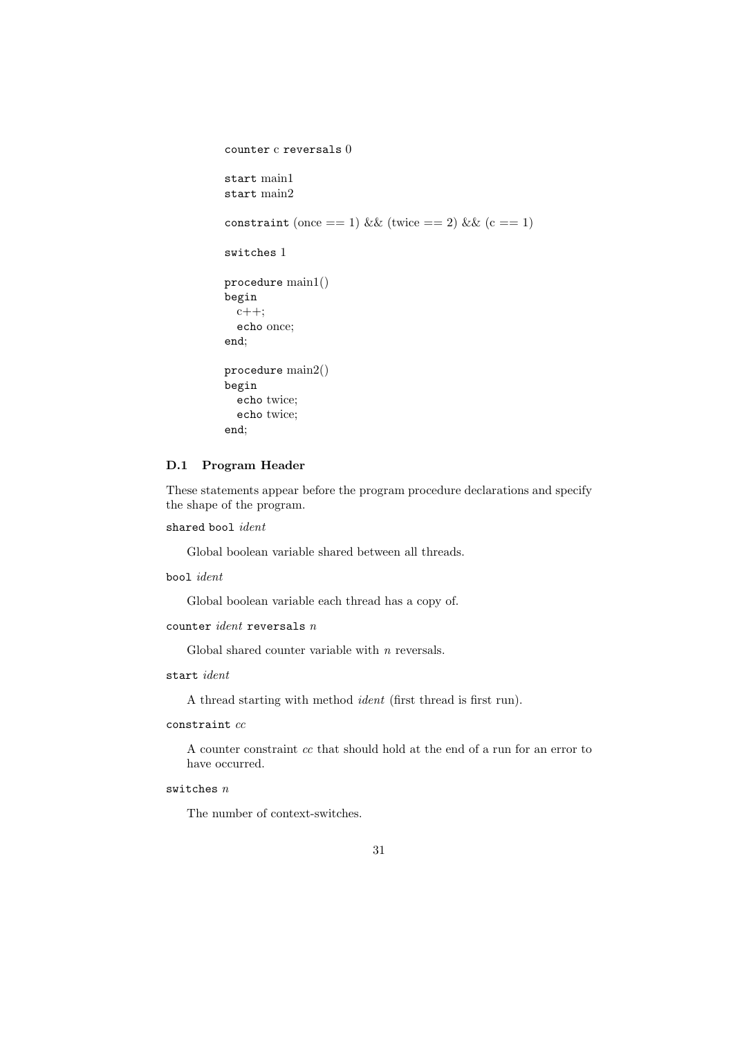```
counter c reversals 0
start main1
start main2
constraint (once == 1) && (twice == 2) && (c == 1)
switches 1
procedure main1()
begin
  c++;
  echo once;
end;
procedure main2()
begin
  echo twice;
  echo twice;
end;
```
# D.1 Program Header

These statements appear before the program procedure declarations and specify the shape of the program.

```
shared bool ident
```
Global boolean variable shared between all threads.

bool ident

Global boolean variable each thread has a copy of.

counter  $ident$  reversals  $n$ 

Global shared counter variable with n reversals.

start ident

A thread starting with method ident (first thread is first run).

# $constant$   $cc$

A counter constraint cc that should hold at the end of a run for an error to have occurred.

# switches  $n$

The number of context-switches.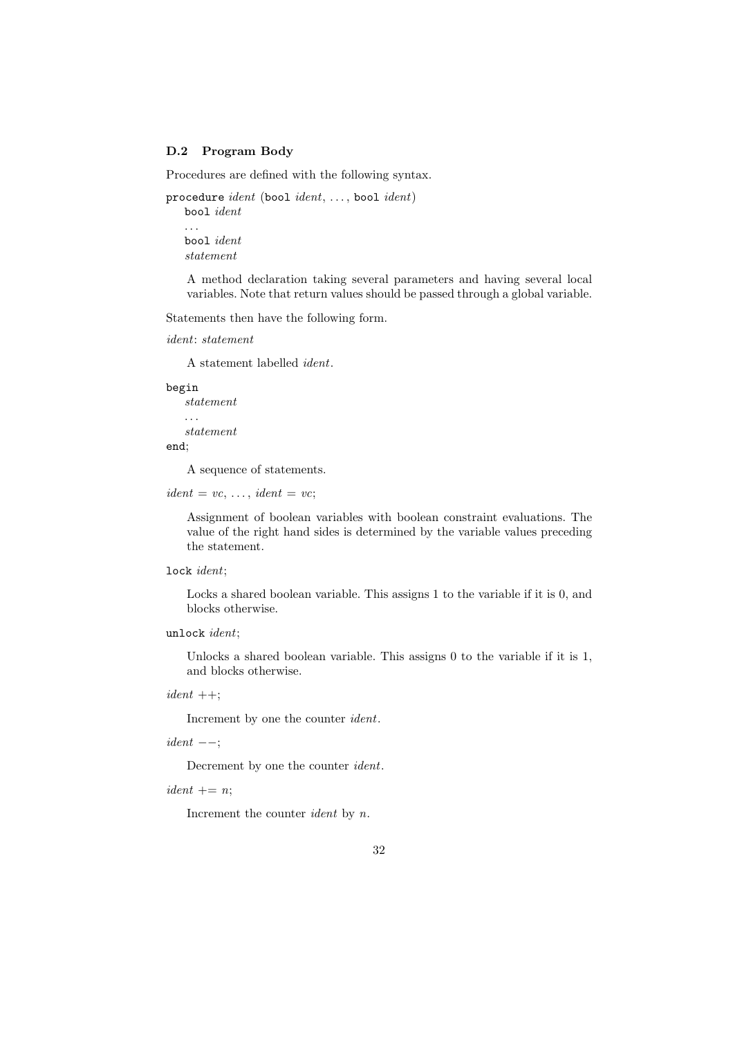#### D.2 Program Body

Procedures are defined with the following syntax.

```
procedure ident (bool ident, ..., bool ident)
   bool ident
   . . .
   bool ident
   statement
```
A method declaration taking several parameters and having several local variables. Note that return values should be passed through a global variable.

Statements then have the following form.

```
ident: statement
```
A statement labelled ident.

begin

```
statement
. . .
statement
```
end;

A sequence of statements.

 $ident = vc, ..., ident = vc;$ 

Assignment of boolean variables with boolean constraint evaluations. The value of the right hand sides is determined by the variable values preceding the statement.

```
lock ident;
```
Locks a shared boolean variable. This assigns 1 to the variable if it is 0, and blocks otherwise.

```
unlock ident;
```
Unlocks a shared boolean variable. This assigns 0 to the variable if it is 1, and blocks otherwise.

 $ident ++;$ 

Increment by one the counter ident.

 $ident$   $--$ ;

Decrement by one the counter ident.

 $ident += n$ ;

Increment the counter ident by n.